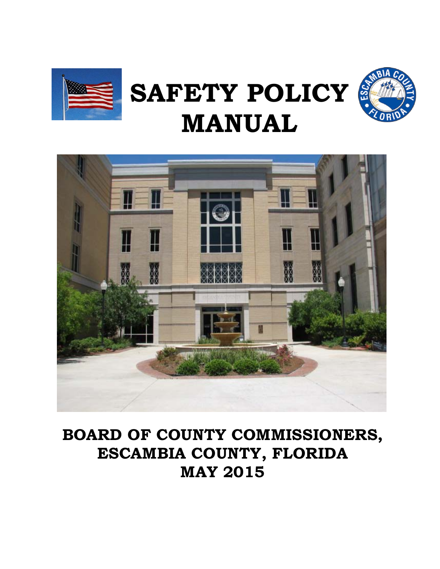

# **SAFETY POLICY MANUAL**





## **BOARD OF COUNTY COMMISSIONERS, ESCAMBIA COUNTY, FLORIDA MAY 2015**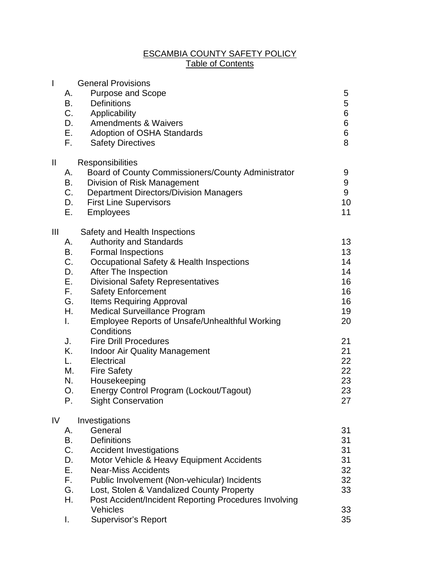#### ESCAMBIA COUNTY SAFETY POLICY Table of Contents

| I                      | А.<br>В.<br>F.                                                                               | <b>General Provisions</b><br><b>Purpose and Scope</b><br><b>Definitions</b><br>C.<br>Applicability<br>D.<br><b>Amendments &amp; Waivers</b><br>$E_{\rm{max}}$<br>Adoption of OSHA Standards<br><b>Safety Directives</b>                                                                                                                                                                                                                                                                                                                                                                        | 5<br>5<br>6<br>6<br>6<br>8                                                                                             |
|------------------------|----------------------------------------------------------------------------------------------|------------------------------------------------------------------------------------------------------------------------------------------------------------------------------------------------------------------------------------------------------------------------------------------------------------------------------------------------------------------------------------------------------------------------------------------------------------------------------------------------------------------------------------------------------------------------------------------------|------------------------------------------------------------------------------------------------------------------------|
| $\mathbf{\mathsf{II}}$ | А.<br>В.<br>C.<br>D.<br>Е.                                                                   | Responsibilities<br>Board of County Commissioners/County Administrator<br>Division of Risk Management<br><b>Department Directors/Division Managers</b><br><b>First Line Supervisors</b><br><b>Employees</b>                                                                                                                                                                                                                                                                                                                                                                                    | 9<br>9<br>9<br>10<br>11                                                                                                |
| Ш                      | А.<br>В.<br>C.<br>D.<br>Е.<br>F.<br>G.<br>Η.<br>I.<br>J.<br>Κ.<br>L.<br>М.<br>N.<br>O.<br>Ρ. | Safety and Health Inspections<br><b>Authority and Standards</b><br><b>Formal Inspections</b><br>Occupational Safety & Health Inspections<br>After The Inspection<br><b>Divisional Safety Representatives</b><br><b>Safety Enforcement</b><br><b>Items Requiring Approval</b><br><b>Medical Surveillance Program</b><br><b>Employee Reports of Unsafe/Unhealthful Working</b><br>Conditions<br><b>Fire Drill Procedures</b><br><b>Indoor Air Quality Management</b><br>Electrical<br><b>Fire Safety</b><br>Housekeeping<br>Energy Control Program (Lockout/Tagout)<br><b>Sight Conservation</b> | 13 <sup>2</sup><br>13 <sup>2</sup><br>14<br>14<br>16<br>16<br>16<br>19<br>20<br>21<br>21<br>22<br>22<br>23<br>23<br>27 |
| IV                     | А.<br>B.<br>C.<br>D.<br>Е.<br>F.<br>G.<br>Η.<br>I.                                           | Investigations<br>General<br><b>Definitions</b><br><b>Accident Investigations</b><br>Motor Vehicle & Heavy Equipment Accidents<br><b>Near-Miss Accidents</b><br>Public Involvement (Non-vehicular) Incidents<br>Lost, Stolen & Vandalized County Property<br>Post Accident/Incident Reporting Procedures Involving<br>Vehicles<br><b>Supervisor's Report</b>                                                                                                                                                                                                                                   | 31<br>31<br>31<br>31<br>32<br>32<br>33<br>33<br>35                                                                     |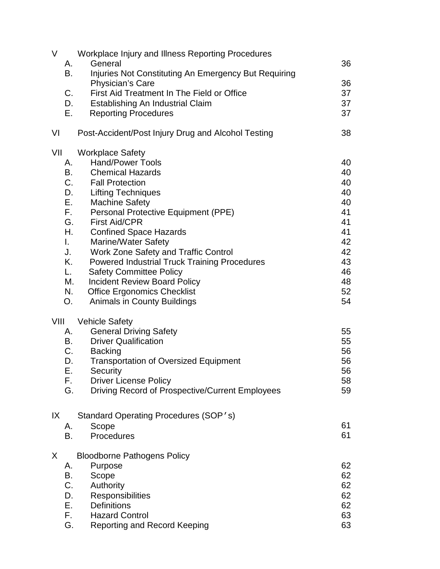| V<br>А.<br>В.<br>C.<br>D.<br>Е.                                                         | Workplace Injury and Illness Reporting Procedures<br>General<br>Injuries Not Constituting An Emergency But Requiring<br>Physician's Care<br>First Aid Treatment In The Field or Office<br>Establishing An Industrial Claim<br><b>Reporting Procedures</b>                                                                                                                                                                                                                                                                                      | 36<br>36<br>37<br>37<br>37                                                             |
|-----------------------------------------------------------------------------------------|------------------------------------------------------------------------------------------------------------------------------------------------------------------------------------------------------------------------------------------------------------------------------------------------------------------------------------------------------------------------------------------------------------------------------------------------------------------------------------------------------------------------------------------------|----------------------------------------------------------------------------------------|
| VI                                                                                      | Post-Accident/Post Injury Drug and Alcohol Testing                                                                                                                                                                                                                                                                                                                                                                                                                                                                                             | 38                                                                                     |
| VII<br>А.<br>В.<br>D.<br>Е.<br>F.<br>G.<br>Η.<br>I.<br>J.<br>Κ.<br>L.<br>М.<br>N.<br>O. | <b>Workplace Safety</b><br><b>Hand/Power Tools</b><br><b>Chemical Hazards</b><br>C.<br><b>Fall Protection</b><br><b>Lifting Techniques</b><br><b>Machine Safety</b><br>Personal Protective Equipment (PPE)<br><b>First Aid/CPR</b><br><b>Confined Space Hazards</b><br><b>Marine/Water Safety</b><br>Work Zone Safety and Traffic Control<br><b>Powered Industrial Truck Training Procedures</b><br><b>Safety Committee Policy</b><br><b>Incident Review Board Policy</b><br><b>Office Ergonomics Checklist</b><br>Animals in County Buildings | 40<br>40<br>40<br>40<br>40<br>41<br>41<br>41<br>42<br>42<br>43<br>46<br>48<br>52<br>54 |
| VIII<br>А.<br>В.<br>D.<br>Е.<br>F.<br>G.                                                | <b>Vehicle Safety</b><br><b>General Driving Safety</b><br><b>Driver Qualification</b><br>C.<br><b>Backing</b><br><b>Transportation of Oversized Equipment</b><br>Security<br><b>Driver License Policy</b><br>Driving Record of Prospective/Current Employees                                                                                                                                                                                                                                                                                   | 55<br>55<br>56<br>56<br>56<br>58<br>59                                                 |
| IX<br>А.<br>В.                                                                          | Standard Operating Procedures (SOP 's)<br>Scope<br>Procedures                                                                                                                                                                                                                                                                                                                                                                                                                                                                                  | 61<br>61                                                                               |
| X<br>Α.<br>В.<br>C.<br>D.<br>Ε.<br>F.<br>G.                                             | <b>Bloodborne Pathogens Policy</b><br>Purpose<br>Scope<br>Authority<br>Responsibilities<br><b>Definitions</b><br><b>Hazard Control</b><br><b>Reporting and Record Keeping</b>                                                                                                                                                                                                                                                                                                                                                                  | 62<br>62<br>62<br>62<br>62<br>63<br>63                                                 |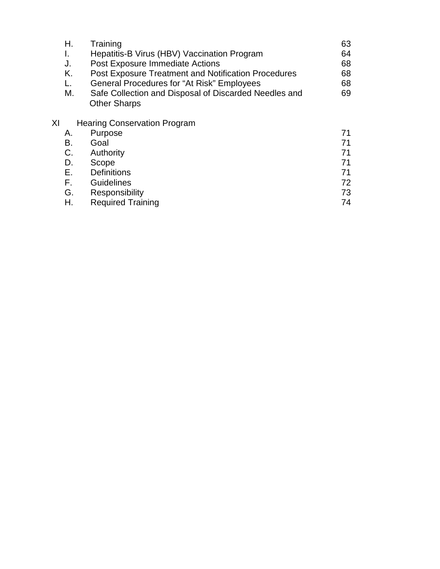| Н. | Training                                                                     | 63 |
|----|------------------------------------------------------------------------------|----|
|    | Hepatitis-B Virus (HBV) Vaccination Program                                  | 64 |
| J. | Post Exposure Immediate Actions                                              | 68 |
| Κ. | <b>Post Exposure Treatment and Notification Procedures</b>                   | 68 |
|    | <b>General Procedures for "At Risk" Employees</b>                            | 68 |
| М. | Safe Collection and Disposal of Discarded Needles and<br><b>Other Sharps</b> | 69 |

### XI Hearing Conservation Program

| А. | Purpose                  |    |
|----|--------------------------|----|
| B. | Goal                     | 71 |
| C. | Authority                | 71 |
| D. | Scope                    | 71 |
| Е. | <b>Definitions</b>       | 71 |
| F. | <b>Guidelines</b>        | 72 |
| G. | Responsibility           | 73 |
| Η. | <b>Required Training</b> | 74 |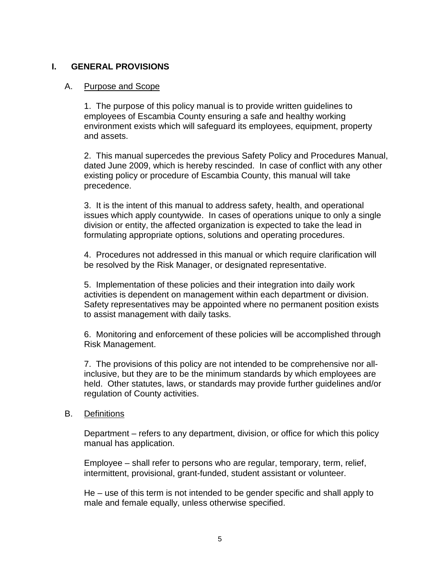#### **I. GENERAL PROVISIONS**

#### A. Purpose and Scope

1. The purpose of this policy manual is to provide written guidelines to employees of Escambia County ensuring a safe and healthy working environment exists which will safeguard its employees, equipment, property and assets.

2. This manual supercedes the previous Safety Policy and Procedures Manual, dated June 2009, which is hereby rescinded. In case of conflict with any other existing policy or procedure of Escambia County, this manual will take precedence.

3. It is the intent of this manual to address safety, health, and operational issues which apply countywide. In cases of operations unique to only a single division or entity, the affected organization is expected to take the lead in formulating appropriate options, solutions and operating procedures.

4. Procedures not addressed in this manual or which require clarification will be resolved by the Risk Manager, or designated representative.

5. Implementation of these policies and their integration into daily work activities is dependent on management within each department or division. Safety representatives may be appointed where no permanent position exists to assist management with daily tasks.

6. Monitoring and enforcement of these policies will be accomplished through Risk Management.

7. The provisions of this policy are not intended to be comprehensive nor allinclusive, but they are to be the minimum standards by which employees are held. Other statutes, laws, or standards may provide further guidelines and/or regulation of County activities.

#### B. Definitions

Department – refers to any department, division, or office for which this policy manual has application.

Employee – shall refer to persons who are regular, temporary, term, relief, intermittent, provisional, grant-funded, student assistant or volunteer.

He – use of this term is not intended to be gender specific and shall apply to male and female equally, unless otherwise specified.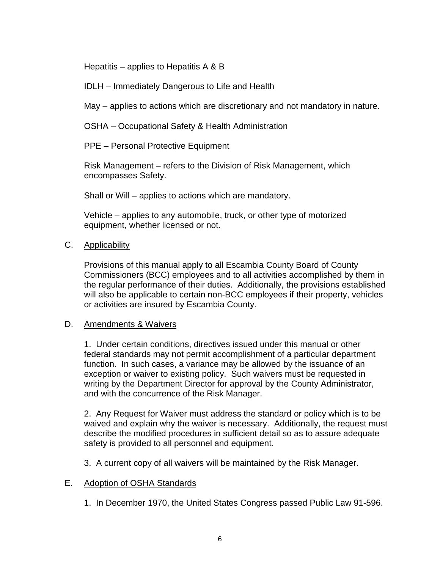Hepatitis – applies to Hepatitis A & B

IDLH – Immediately Dangerous to Life and Health

May – applies to actions which are discretionary and not mandatory in nature.

OSHA – Occupational Safety & Health Administration

PPE – Personal Protective Equipment

Risk Management – refers to the Division of Risk Management, which encompasses Safety.

Shall or Will – applies to actions which are mandatory.

Vehicle – applies to any automobile, truck, or other type of motorized equipment, whether licensed or not.

#### C. Applicability

Provisions of this manual apply to all Escambia County Board of County Commissioners (BCC) employees and to all activities accomplished by them in the regular performance of their duties. Additionally, the provisions established will also be applicable to certain non-BCC employees if their property, vehicles or activities are insured by Escambia County.

#### D. Amendments & Waivers

1. Under certain conditions, directives issued under this manual or other federal standards may not permit accomplishment of a particular department function. In such cases, a variance may be allowed by the issuance of an exception or waiver to existing policy. Such waivers must be requested in writing by the Department Director for approval by the County Administrator, and with the concurrence of the Risk Manager.

2. Any Request for Waiver must address the standard or policy which is to be waived and explain why the waiver is necessary. Additionally, the request must describe the modified procedures in sufficient detail so as to assure adequate safety is provided to all personnel and equipment.

3. A current copy of all waivers will be maintained by the Risk Manager.

#### E. Adoption of OSHA Standards

1. In December 1970, the United States Congress passed Public Law 91-596.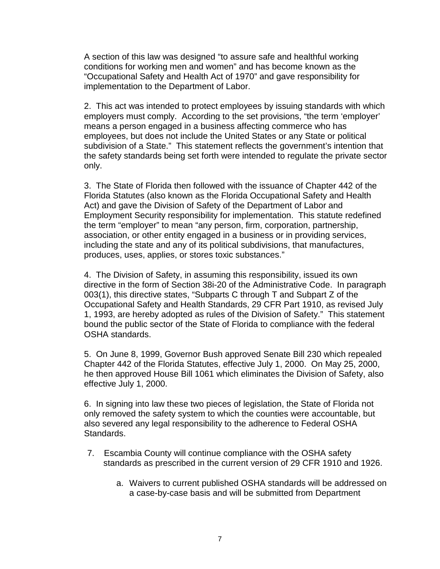A section of this law was designed "to assure safe and healthful working conditions for working men and women" and has become known as the "Occupational Safety and Health Act of 1970" and gave responsibility for implementation to the Department of Labor.

2. This act was intended to protect employees by issuing standards with which employers must comply. According to the set provisions, "the term 'employer' means a person engaged in a business affecting commerce who has employees, but does not include the United States or any State or political subdivision of a State." This statement reflects the government's intention that the safety standards being set forth were intended to regulate the private sector only.

3. The State of Florida then followed with the issuance of Chapter 442 of the Florida Statutes (also known as the Florida Occupational Safety and Health Act) and gave the Division of Safety of the Department of Labor and Employment Security responsibility for implementation. This statute redefined the term "employer" to mean "any person, firm, corporation, partnership, association, or other entity engaged in a business or in providing services, including the state and any of its political subdivisions, that manufactures, produces, uses, applies, or stores toxic substances."

4. The Division of Safety, in assuming this responsibility, issued its own directive in the form of Section 38i-20 of the Administrative Code. In paragraph 003(1), this directive states, "Subparts C through T and Subpart Z of the Occupational Safety and Health Standards, 29 CFR Part 1910, as revised July 1, 1993, are hereby adopted as rules of the Division of Safety." This statement bound the public sector of the State of Florida to compliance with the federal OSHA standards.

5. On June 8, 1999, Governor Bush approved Senate Bill 230 which repealed Chapter 442 of the Florida Statutes, effective July 1, 2000. On May 25, 2000, he then approved House Bill 1061 which eliminates the Division of Safety, also effective July 1, 2000.

6. In signing into law these two pieces of legislation, the State of Florida not only removed the safety system to which the counties were accountable, but also severed any legal responsibility to the adherence to Federal OSHA Standards.

- 7. Escambia County will continue compliance with the OSHA safety standards as prescribed in the current version of 29 CFR 1910 and 1926.
	- a. Waivers to current published OSHA standards will be addressed on a case-by-case basis and will be submitted from Department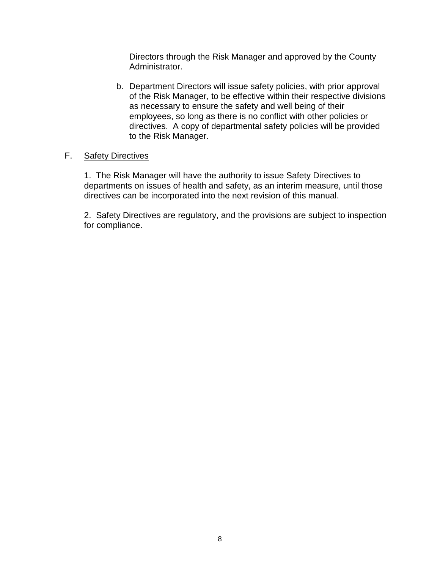Directors through the Risk Manager and approved by the County Administrator.

b. Department Directors will issue safety policies, with prior approval of the Risk Manager, to be effective within their respective divisions as necessary to ensure the safety and well being of their employees, so long as there is no conflict with other policies or directives. A copy of departmental safety policies will be provided to the Risk Manager.

#### F. Safety Directives

1. The Risk Manager will have the authority to issue Safety Directives to departments on issues of health and safety, as an interim measure, until those directives can be incorporated into the next revision of this manual.

2. Safety Directives are regulatory, and the provisions are subject to inspection for compliance.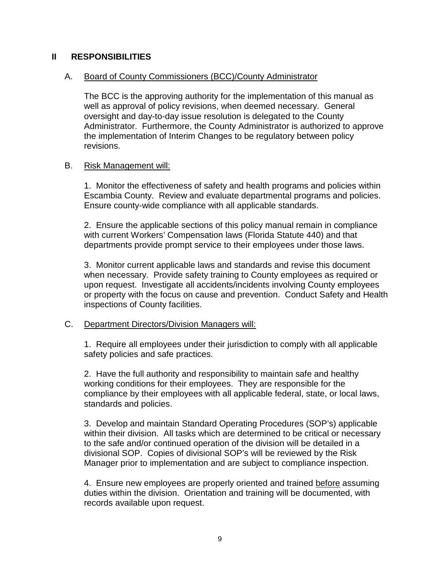#### **II RESPONSIBILITIES**

#### A. Board of County Commissioners (BCC)/County Administrator

The BCC is the approving authority for the implementation of this manual as well as approval of policy revisions, when deemed necessary. General oversight and day-to-day issue resolution is delegated to the County Administrator. Furthermore, the County Administrator is authorized to approve the implementation of Interim Changes to be regulatory between policy revisions.

#### B. Risk Management will:

1. Monitor the effectiveness of safety and health programs and policies within Escambia County. Review and evaluate departmental programs and policies. Ensure county-wide compliance with all applicable standards.

2. Ensure the applicable sections of this policy manual remain in compliance with current Workers' Compensation laws (Florida Statute 440) and that departments provide prompt service to their employees under those laws.

3. Monitor current applicable laws and standards and revise this document when necessary. Provide safety training to County employees as required or upon request. Investigate all accidents/incidents involving County employees or property with the focus on cause and prevention. Conduct Safety and Health inspections of County facilities.

#### C. Department Directors/Division Managers will:

1. Require all employees under their jurisdiction to comply with all applicable safety policies and safe practices.

2. Have the full authority and responsibility to maintain safe and healthy working conditions for their employees. They are responsible for the compliance by their employees with all applicable federal, state, or local laws, standards and policies.

3. Develop and maintain Standard Operating Procedures (SOP's) applicable within their division. All tasks which are determined to be critical or necessary to the safe and/or continued operation of the division will be detailed in a divisional SOP. Copies of divisional SOP's will be reviewed by the Risk Manager prior to implementation and are subject to compliance inspection.

4. Ensure new employees are properly oriented and trained before assuming duties within the division. Orientation and training will be documented, with records available upon request.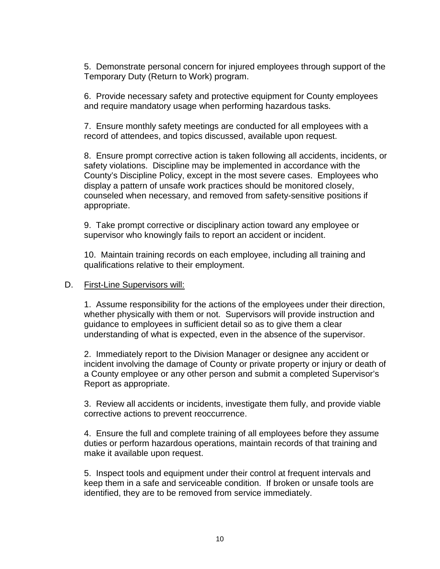5. Demonstrate personal concern for injured employees through support of the Temporary Duty (Return to Work) program.

6. Provide necessary safety and protective equipment for County employees and require mandatory usage when performing hazardous tasks.

7. Ensure monthly safety meetings are conducted for all employees with a record of attendees, and topics discussed, available upon request.

8. Ensure prompt corrective action is taken following all accidents, incidents, or safety violations. Discipline may be implemented in accordance with the County's Discipline Policy, except in the most severe cases. Employees who display a pattern of unsafe work practices should be monitored closely, counseled when necessary, and removed from safety-sensitive positions if appropriate.

9. Take prompt corrective or disciplinary action toward any employee or supervisor who knowingly fails to report an accident or incident.

10. Maintain training records on each employee, including all training and qualifications relative to their employment.

#### D. First-Line Supervisors will:

1. Assume responsibility for the actions of the employees under their direction, whether physically with them or not. Supervisors will provide instruction and guidance to employees in sufficient detail so as to give them a clear understanding of what is expected, even in the absence of the supervisor.

2. Immediately report to the Division Manager or designee any accident or incident involving the damage of County or private property or injury or death of a County employee or any other person and submit a completed Supervisor's Report as appropriate.

3. Review all accidents or incidents, investigate them fully, and provide viable corrective actions to prevent reoccurrence.

4. Ensure the full and complete training of all employees before they assume duties or perform hazardous operations, maintain records of that training and make it available upon request.

5. Inspect tools and equipment under their control at frequent intervals and keep them in a safe and serviceable condition. If broken or unsafe tools are identified, they are to be removed from service immediately.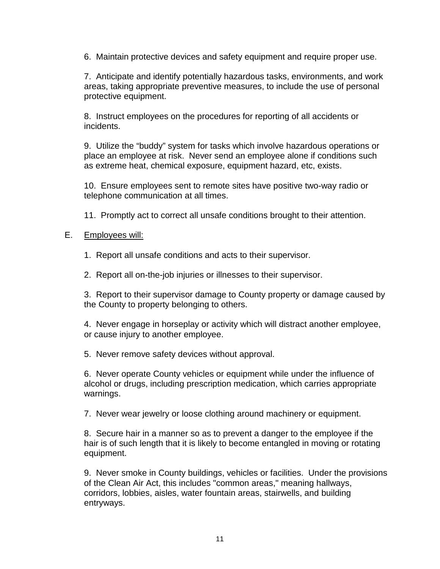6. Maintain protective devices and safety equipment and require proper use.

7. Anticipate and identify potentially hazardous tasks, environments, and work areas, taking appropriate preventive measures, to include the use of personal protective equipment.

8. Instruct employees on the procedures for reporting of all accidents or incidents.

9. Utilize the "buddy" system for tasks which involve hazardous operations or place an employee at risk. Never send an employee alone if conditions such as extreme heat, chemical exposure, equipment hazard, etc, exists.

10. Ensure employees sent to remote sites have positive two-way radio or telephone communication at all times.

11. Promptly act to correct all unsafe conditions brought to their attention.

#### E. Employees will:

- 1. Report all unsafe conditions and acts to their supervisor.
- 2. Report all on-the-job injuries or illnesses to their supervisor.

3. Report to their supervisor damage to County property or damage caused by the County to property belonging to others.

4. Never engage in horseplay or activity which will distract another employee, or cause injury to another employee.

5. Never remove safety devices without approval.

6. Never operate County vehicles or equipment while under the influence of alcohol or drugs, including prescription medication, which carries appropriate warnings.

7. Never wear jewelry or loose clothing around machinery or equipment.

8. Secure hair in a manner so as to prevent a danger to the employee if the hair is of such length that it is likely to become entangled in moving or rotating equipment.

9. Never smoke in County buildings, vehicles or facilities. Under the provisions of the Clean Air Act, this includes "common areas," meaning hallways, corridors, lobbies, aisles, water fountain areas, stairwells, and building entryways.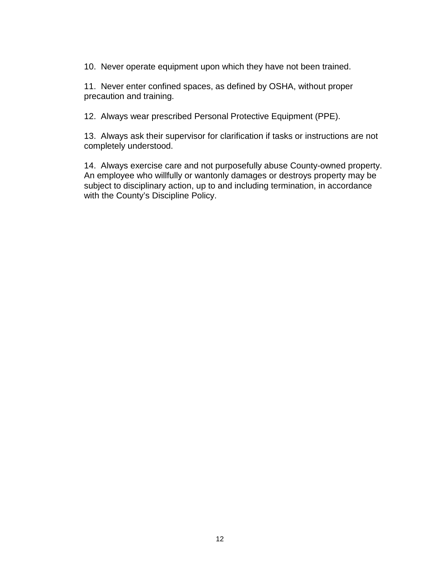10. Never operate equipment upon which they have not been trained.

11. Never enter confined spaces, as defined by OSHA, without proper precaution and training.

12. Always wear prescribed Personal Protective Equipment (PPE).

13. Always ask their supervisor for clarification if tasks or instructions are not completely understood.

14. Always exercise care and not purposefully abuse County-owned property. An employee who willfully or wantonly damages or destroys property may be subject to disciplinary action, up to and including termination, in accordance with the County's Discipline Policy.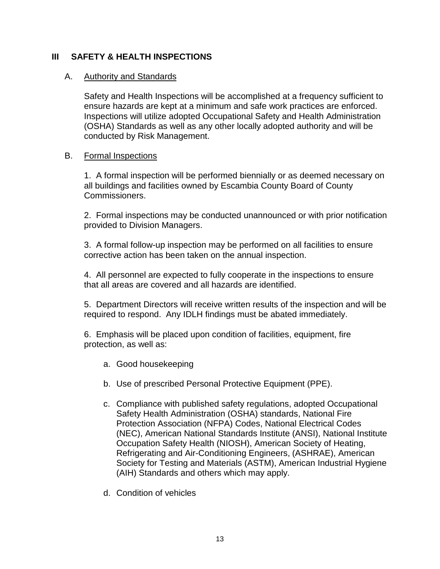#### **III SAFETY & HEALTH INSPECTIONS**

#### A. Authority and Standards

Safety and Health Inspections will be accomplished at a frequency sufficient to ensure hazards are kept at a minimum and safe work practices are enforced. Inspections will utilize adopted Occupational Safety and Health Administration (OSHA) Standards as well as any other locally adopted authority and will be conducted by Risk Management.

#### B. Formal Inspections

1. A formal inspection will be performed biennially or as deemed necessary on all buildings and facilities owned by Escambia County Board of County Commissioners.

2. Formal inspections may be conducted unannounced or with prior notification provided to Division Managers.

3. A formal follow-up inspection may be performed on all facilities to ensure corrective action has been taken on the annual inspection.

4. All personnel are expected to fully cooperate in the inspections to ensure that all areas are covered and all hazards are identified.

5. Department Directors will receive written results of the inspection and will be required to respond. Any IDLH findings must be abated immediately.

6. Emphasis will be placed upon condition of facilities, equipment, fire protection, as well as:

- a. Good housekeeping
- b. Use of prescribed Personal Protective Equipment (PPE).
- c. Compliance with published safety regulations, adopted Occupational Safety Health Administration (OSHA) standards, National Fire Protection Association (NFPA) Codes, National Electrical Codes (NEC), American National Standards Institute (ANSI), National Institute Occupation Safety Health (NIOSH), American Society of Heating, Refrigerating and Air-Conditioning Engineers, (ASHRAE), American Society for Testing and Materials (ASTM), American Industrial Hygiene (AIH) Standards and others which may apply.
- d. Condition of vehicles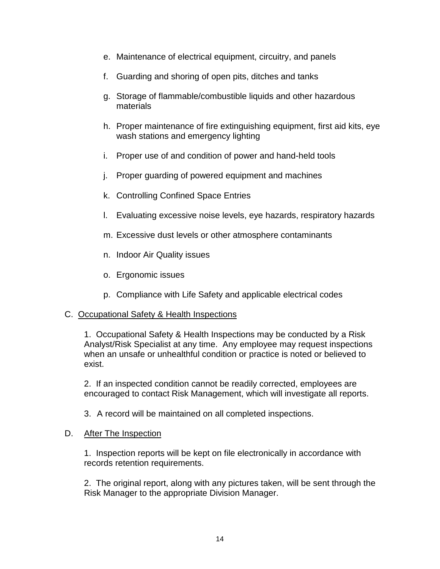- e. Maintenance of electrical equipment, circuitry, and panels
- f. Guarding and shoring of open pits, ditches and tanks
- g. Storage of flammable/combustible liquids and other hazardous materials
- h. Proper maintenance of fire extinguishing equipment, first aid kits, eye wash stations and emergency lighting
- i. Proper use of and condition of power and hand-held tools
- j. Proper guarding of powered equipment and machines
- k. Controlling Confined Space Entries
- l. Evaluating excessive noise levels, eye hazards, respiratory hazards
- m. Excessive dust levels or other atmosphere contaminants
- n. Indoor Air Quality issues
- o. Ergonomic issues
- p. Compliance with Life Safety and applicable electrical codes

#### C. Occupational Safety & Health Inspections

1. Occupational Safety & Health Inspections may be conducted by a Risk Analyst/Risk Specialist at any time. Any employee may request inspections when an unsafe or unhealthful condition or practice is noted or believed to exist.

2. If an inspected condition cannot be readily corrected, employees are encouraged to contact Risk Management, which will investigate all reports.

3. A record will be maintained on all completed inspections.

#### D. After The Inspection

1. Inspection reports will be kept on file electronically in accordance with records retention requirements.

2. The original report, along with any pictures taken, will be sent through the Risk Manager to the appropriate Division Manager.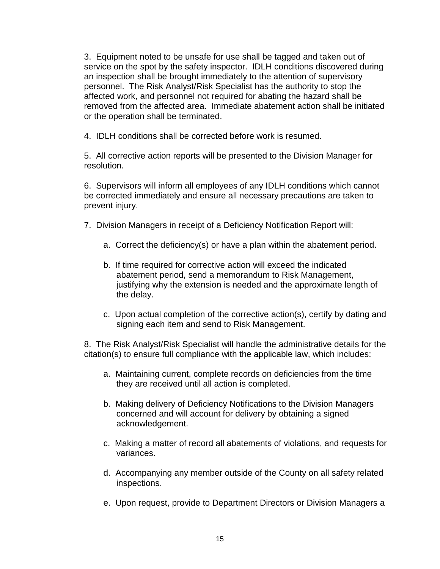3. Equipment noted to be unsafe for use shall be tagged and taken out of service on the spot by the safety inspector. IDLH conditions discovered during an inspection shall be brought immediately to the attention of supervisory personnel. The Risk Analyst/Risk Specialist has the authority to stop the affected work, and personnel not required for abating the hazard shall be removed from the affected area. Immediate abatement action shall be initiated or the operation shall be terminated.

4. IDLH conditions shall be corrected before work is resumed.

5. All corrective action reports will be presented to the Division Manager for resolution.

6. Supervisors will inform all employees of any IDLH conditions which cannot be corrected immediately and ensure all necessary precautions are taken to prevent injury.

- 7. Division Managers in receipt of a Deficiency Notification Report will:
	- a. Correct the deficiency(s) or have a plan within the abatement period.
	- b. If time required for corrective action will exceed the indicated abatement period, send a memorandum to Risk Management, justifying why the extension is needed and the approximate length of the delay.
	- c. Upon actual completion of the corrective action(s), certify by dating and signing each item and send to Risk Management.

8. The Risk Analyst/Risk Specialist will handle the administrative details for the citation(s) to ensure full compliance with the applicable law, which includes:

- a. Maintaining current, complete records on deficiencies from the time they are received until all action is completed.
- b. Making delivery of Deficiency Notifications to the Division Managers concerned and will account for delivery by obtaining a signed acknowledgement.
- c. Making a matter of record all abatements of violations, and requests for variances.
- d. Accompanying any member outside of the County on all safety related inspections.
- e. Upon request, provide to Department Directors or Division Managers a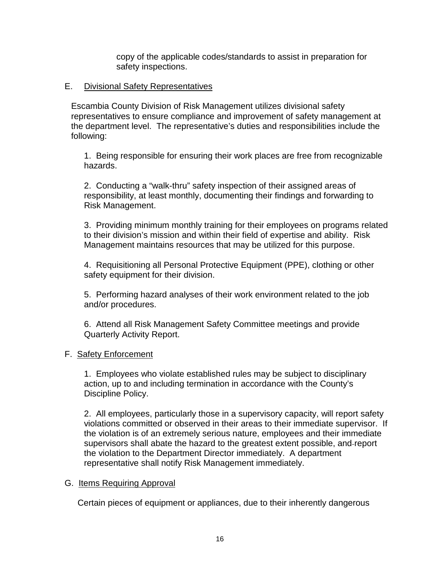copy of the applicable codes/standards to assist in preparation for safety inspections.

#### E. Divisional Safety Representatives

Escambia County Division of Risk Management utilizes divisional safety representatives to ensure compliance and improvement of safety management at the department level. The representative's duties and responsibilities include the following:

1. Being responsible for ensuring their work places are free from recognizable hazards.

2. Conducting a "walk-thru" safety inspection of their assigned areas of responsibility, at least monthly, documenting their findings and forwarding to Risk Management.

3. Providing minimum monthly training for their employees on programs related to their division's mission and within their field of expertise and ability. Risk Management maintains resources that may be utilized for this purpose.

4. Requisitioning all Personal Protective Equipment (PPE), clothing or other safety equipment for their division.

5. Performing hazard analyses of their work environment related to the job and/or procedures.

6. Attend all Risk Management Safety Committee meetings and provide Quarterly Activity Report.

#### F. Safety Enforcement

1. Employees who violate established rules may be subject to disciplinary action, up to and including termination in accordance with the County's Discipline Policy.

2. All employees, particularly those in a supervisory capacity, will report safety violations committed or observed in their areas to their immediate supervisor. If the violation is of an extremely serious nature, employees and their immediate supervisors shall abate the hazard to the greatest extent possible, and report the violation to the Department Director immediately. A department representative shall notify Risk Management immediately.

#### G. Items Requiring Approval

Certain pieces of equipment or appliances, due to their inherently dangerous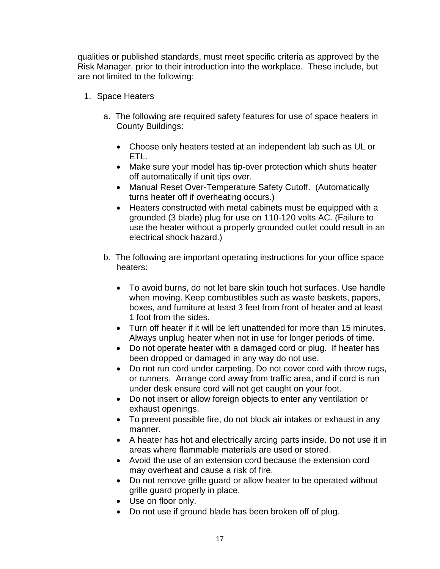qualities or published standards, must meet specific criteria as approved by the Risk Manager, prior to their introduction into the workplace. These include, but are not limited to the following:

- 1. Space Heaters
	- a. The following are required safety features for use of space heaters in County Buildings:
		- Choose only heaters tested at an independent lab such as UL or ETL.
		- Make sure your model has tip-over protection which shuts heater off automatically if unit tips over.
		- Manual Reset Over-Temperature Safety Cutoff. (Automatically turns heater off if overheating occurs.)
		- Heaters constructed with metal cabinets must be equipped with a grounded (3 blade) plug for use on 110-120 volts AC. (Failure to use the heater without a properly grounded outlet could result in an electrical shock hazard.)
	- b. The following are important operating instructions for your office space heaters:
		- To avoid burns, do not let bare skin touch hot surfaces. Use handle when moving. Keep combustibles such as waste baskets, papers, boxes, and furniture at least 3 feet from front of heater and at least 1 foot from the sides.
		- Turn off heater if it will be left unattended for more than 15 minutes. Always unplug heater when not in use for longer periods of time.
		- Do not operate heater with a damaged cord or plug. If heater has been dropped or damaged in any way do not use.
		- Do not run cord under carpeting. Do not cover cord with throw rugs, or runners. Arrange cord away from traffic area, and if cord is run under desk ensure cord will not get caught on your foot.
		- Do not insert or allow foreign objects to enter any ventilation or exhaust openings.
		- To prevent possible fire, do not block air intakes or exhaust in any manner.
		- A heater has hot and electrically arcing parts inside. Do not use it in areas where flammable materials are used or stored.
		- Avoid the use of an extension cord because the extension cord may overheat and cause a risk of fire.
		- Do not remove grille guard or allow heater to be operated without grille guard properly in place.
		- Use on floor only.
		- Do not use if ground blade has been broken off of plug.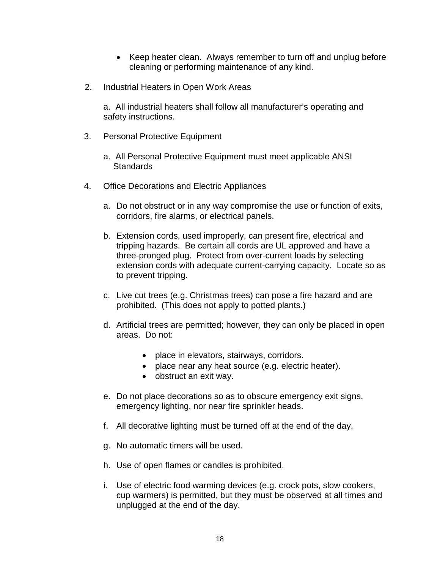- Keep heater clean. Always remember to turn off and unplug before cleaning or performing maintenance of any kind.
- 2. Industrial Heaters in Open Work Areas

a. All industrial heaters shall follow all manufacturer's operating and safety instructions.

- 3. Personal Protective Equipment
	- a. All Personal Protective Equipment must meet applicable ANSI **Standards**
- 4. Office Decorations and Electric Appliances
	- a. Do not obstruct or in any way compromise the use or function of exits, corridors, fire alarms, or electrical panels.
	- b. Extension cords, used improperly, can present fire, electrical and tripping hazards. Be certain all cords are UL approved and have a three-pronged plug. Protect from over-current loads by selecting extension cords with adequate current-carrying capacity. Locate so as to prevent tripping.
	- c. Live cut trees (e.g. Christmas trees) can pose a fire hazard and are prohibited. (This does not apply to potted plants.)
	- d. Artificial trees are permitted; however, they can only be placed in open areas. Do not:
		- place in elevators, stairways, corridors.
		- place near any heat source (e.g. electric heater).
		- obstruct an exit way.
	- e. Do not place decorations so as to obscure emergency exit signs, emergency lighting, nor near fire sprinkler heads.
	- f. All decorative lighting must be turned off at the end of the day.
	- g. No automatic timers will be used.
	- h. Use of open flames or candles is prohibited.
	- i. Use of electric food warming devices (e.g. crock pots, slow cookers, cup warmers) is permitted, but they must be observed at all times and unplugged at the end of the day.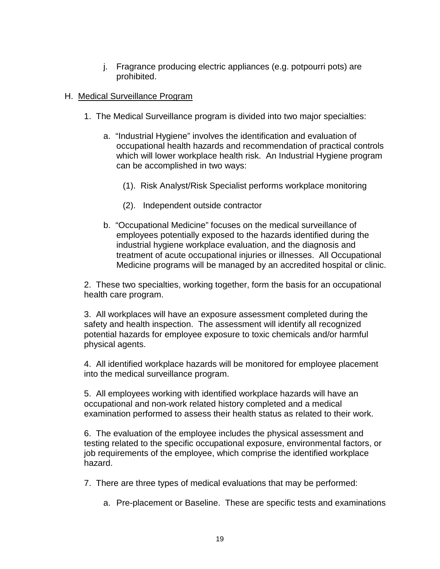j. Fragrance producing electric appliances (e.g. potpourri pots) are prohibited.

#### H. Medical Surveillance Program

- 1. The Medical Surveillance program is divided into two major specialties:
	- a. "Industrial Hygiene" involves the identification and evaluation of occupational health hazards and recommendation of practical controls which will lower workplace health risk. An Industrial Hygiene program can be accomplished in two ways:
		- (1). Risk Analyst/Risk Specialist performs workplace monitoring
		- (2). Independent outside contractor
	- b. "Occupational Medicine" focuses on the medical surveillance of employees potentially exposed to the hazards identified during the industrial hygiene workplace evaluation, and the diagnosis and treatment of acute occupational injuries or illnesses. All Occupational Medicine programs will be managed by an accredited hospital or clinic.

2. These two specialties, working together, form the basis for an occupational health care program.

3. All workplaces will have an exposure assessment completed during the safety and health inspection. The assessment will identify all recognized potential hazards for employee exposure to toxic chemicals and/or harmful physical agents.

4. All identified workplace hazards will be monitored for employee placement into the medical surveillance program.

5. All employees working with identified workplace hazards will have an occupational and non-work related history completed and a medical examination performed to assess their health status as related to their work.

6. The evaluation of the employee includes the physical assessment and testing related to the specific occupational exposure, environmental factors, or job requirements of the employee, which comprise the identified workplace hazard.

7. There are three types of medical evaluations that may be performed:

a. Pre-placement or Baseline. These are specific tests and examinations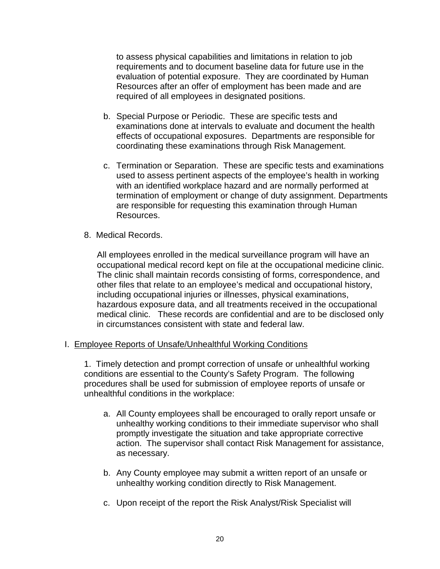to assess physical capabilities and limitations in relation to job requirements and to document baseline data for future use in the evaluation of potential exposure. They are coordinated by Human Resources after an offer of employment has been made and are required of all employees in designated positions.

- b. Special Purpose or Periodic. These are specific tests and examinations done at intervals to evaluate and document the health effects of occupational exposures. Departments are responsible for coordinating these examinations through Risk Management.
- c. Termination or Separation. These are specific tests and examinations used to assess pertinent aspects of the employee's health in working with an identified workplace hazard and are normally performed at termination of employment or change of duty assignment. Departments are responsible for requesting this examination through Human Resources.
- 8. Medical Records.

All employees enrolled in the medical surveillance program will have an occupational medical record kept on file at the occupational medicine clinic. The clinic shall maintain records consisting of forms, correspondence, and other files that relate to an employee's medical and occupational history, including occupational injuries or illnesses, physical examinations, hazardous exposure data, and all treatments received in the occupational medical clinic. These records are confidential and are to be disclosed only in circumstances consistent with state and federal law.

#### I. Employee Reports of Unsafe/Unhealthful Working Conditions

1. Timely detection and prompt correction of unsafe or unhealthful working conditions are essential to the County's Safety Program. The following procedures shall be used for submission of employee reports of unsafe or unhealthful conditions in the workplace:

- a. All County employees shall be encouraged to orally report unsafe or unhealthy working conditions to their immediate supervisor who shall promptly investigate the situation and take appropriate corrective action. The supervisor shall contact Risk Management for assistance, as necessary.
- b. Any County employee may submit a written report of an unsafe or unhealthy working condition directly to Risk Management.
- c. Upon receipt of the report the Risk Analyst/Risk Specialist will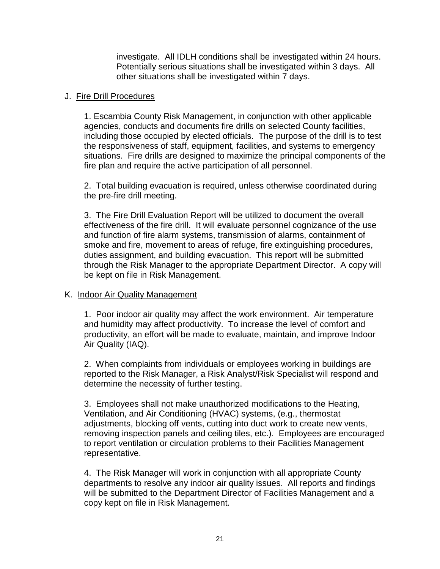investigate. All IDLH conditions shall be investigated within 24 hours. Potentially serious situations shall be investigated within 3 days. All other situations shall be investigated within 7 days.

#### J. Fire Drill Procedures

1. Escambia County Risk Management, in conjunction with other applicable agencies, conducts and documents fire drills on selected County facilities, including those occupied by elected officials. The purpose of the drill is to test the responsiveness of staff, equipment, facilities, and systems to emergency situations. Fire drills are designed to maximize the principal components of the fire plan and require the active participation of all personnel.

2. Total building evacuation is required, unless otherwise coordinated during the pre-fire drill meeting.

3. The Fire Drill Evaluation Report will be utilized to document the overall effectiveness of the fire drill. It will evaluate personnel cognizance of the use and function of fire alarm systems, transmission of alarms, containment of smoke and fire, movement to areas of refuge, fire extinguishing procedures, duties assignment, and building evacuation. This report will be submitted through the Risk Manager to the appropriate Department Director. A copy will be kept on file in Risk Management.

#### K. Indoor Air Quality Management

1. Poor indoor air quality may affect the work environment. Air temperature and humidity may affect productivity. To increase the level of comfort and productivity, an effort will be made to evaluate, maintain, and improve Indoor Air Quality (IAQ).

2. When complaints from individuals or employees working in buildings are reported to the Risk Manager, a Risk Analyst/Risk Specialist will respond and determine the necessity of further testing.

3. Employees shall not make unauthorized modifications to the Heating, Ventilation, and Air Conditioning (HVAC) systems, (e.g., thermostat adjustments, blocking off vents, cutting into duct work to create new vents, removing inspection panels and ceiling tiles, etc.). Employees are encouraged to report ventilation or circulation problems to their Facilities Management representative.

4. The Risk Manager will work in conjunction with all appropriate County departments to resolve any indoor air quality issues. All reports and findings will be submitted to the Department Director of Facilities Management and a copy kept on file in Risk Management.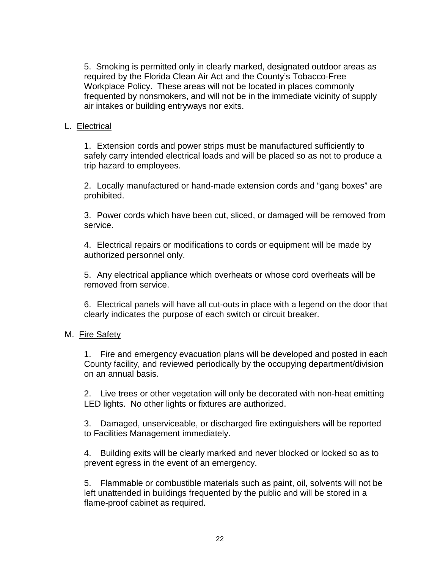5. Smoking is permitted only in clearly marked, designated outdoor areas as required by the Florida Clean Air Act and the County's Tobacco-Free Workplace Policy. These areas will not be located in places commonly frequented by nonsmokers, and will not be in the immediate vicinity of supply air intakes or building entryways nor exits.

#### L. Electrical

1. Extension cords and power strips must be manufactured sufficiently to safely carry intended electrical loads and will be placed so as not to produce a trip hazard to employees.

2. Locally manufactured or hand-made extension cords and "gang boxes" are prohibited.

3. Power cords which have been cut, sliced, or damaged will be removed from service.

4. Electrical repairs or modifications to cords or equipment will be made by authorized personnel only.

5. Any electrical appliance which overheats or whose cord overheats will be removed from service.

6. Electrical panels will have all cut-outs in place with a legend on the door that clearly indicates the purpose of each switch or circuit breaker.

#### M. Fire Safety

1. Fire and emergency evacuation plans will be developed and posted in each County facility, and reviewed periodically by the occupying department/division on an annual basis.

2. Live trees or other vegetation will only be decorated with non-heat emitting LED lights. No other lights or fixtures are authorized.

3. Damaged, unserviceable, or discharged fire extinguishers will be reported to Facilities Management immediately.

4. Building exits will be clearly marked and never blocked or locked so as to prevent egress in the event of an emergency.

5. Flammable or combustible materials such as paint, oil, solvents will not be left unattended in buildings frequented by the public and will be stored in a flame-proof cabinet as required.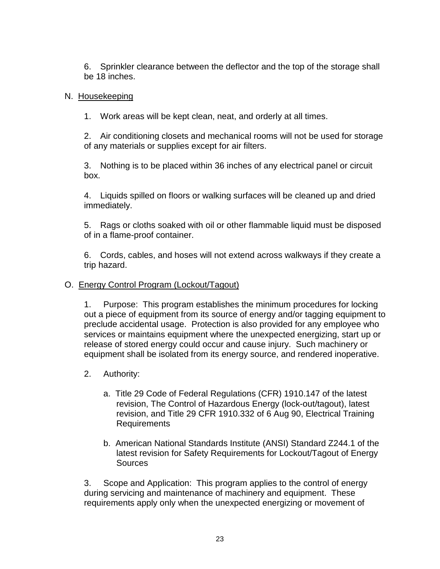6. Sprinkler clearance between the deflector and the top of the storage shall be 18 inches.

#### N. Housekeeping

1. Work areas will be kept clean, neat, and orderly at all times.

2. Air conditioning closets and mechanical rooms will not be used for storage of any materials or supplies except for air filters.

3. Nothing is to be placed within 36 inches of any electrical panel or circuit box.

4. Liquids spilled on floors or walking surfaces will be cleaned up and dried immediately.

5. Rags or cloths soaked with oil or other flammable liquid must be disposed of in a flame-proof container.

6. Cords, cables, and hoses will not extend across walkways if they create a trip hazard.

#### O. Energy Control Program (Lockout/Tagout)

1. Purpose: This program establishes the minimum procedures for locking out a piece of equipment from its source of energy and/or tagging equipment to preclude accidental usage. Protection is also provided for any employee who services or maintains equipment where the unexpected energizing, start up or release of stored energy could occur and cause injury. Such machinery or equipment shall be isolated from its energy source, and rendered inoperative.

- 2. Authority:
	- a. Title 29 Code of Federal Regulations (CFR) 1910.147 of the latest revision, The Control of Hazardous Energy (lock-out/tagout), latest revision, and Title 29 CFR 1910.332 of 6 Aug 90, Electrical Training Requirements
	- b. American National Standards Institute (ANSI) Standard Z244.1 of the latest revision for Safety Requirements for Lockout/Tagout of Energy Sources

3. Scope and Application: This program applies to the control of energy during servicing and maintenance of machinery and equipment. These requirements apply only when the unexpected energizing or movement of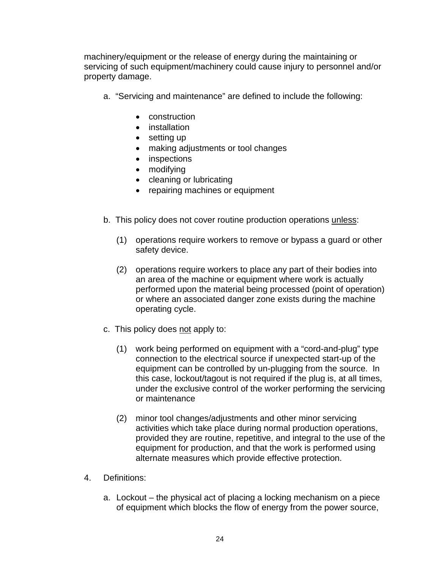machinery/equipment or the release of energy during the maintaining or servicing of such equipment/machinery could cause injury to personnel and/or property damage.

- a. "Servicing and maintenance" are defined to include the following:
	- construction
	- installation
	- setting up
	- making adjustments or tool changes
	- inspections
	- modifying
	- cleaning or lubricating
	- repairing machines or equipment
- b. This policy does not cover routine production operations unless:
	- (1) operations require workers to remove or bypass a guard or other safety device.
	- (2) operations require workers to place any part of their bodies into an area of the machine or equipment where work is actually performed upon the material being processed (point of operation) or where an associated danger zone exists during the machine operating cycle.
- c. This policy does not apply to:
	- (1) work being performed on equipment with a "cord-and-plug" type connection to the electrical source if unexpected start-up of the equipment can be controlled by un-plugging from the source. In this case, lockout/tagout is not required if the plug is, at all times, under the exclusive control of the worker performing the servicing or maintenance
	- (2) minor tool changes/adjustments and other minor servicing activities which take place during normal production operations, provided they are routine, repetitive, and integral to the use of the equipment for production, and that the work is performed using alternate measures which provide effective protection.
- 4. Definitions:
	- a. Lockout the physical act of placing a locking mechanism on a piece of equipment which blocks the flow of energy from the power source,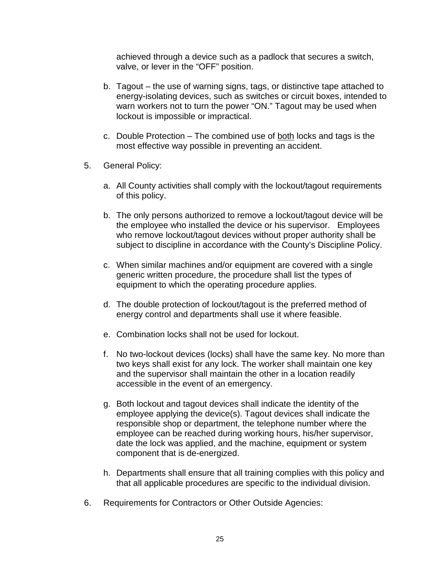achieved through a device such as a padlock that secures a switch, valve, or lever in the "OFF" position.

- b. Tagout the use of warning signs, tags, or distinctive tape attached to energy-isolating devices, such as switches or circuit boxes, intended to warn workers not to turn the power "ON." Tagout may be used when lockout is impossible or impractical.
- c. Double Protection The combined use of both locks and tags is the most effective way possible in preventing an accident.
- 5. General Policy:
	- a. All County activities shall comply with the lockout/tagout requirements of this policy.
	- b. The only persons authorized to remove a lockout/tagout device will be the employee who installed the device or his supervisor. Employees who remove lockout/tagout devices without proper authority shall be subject to discipline in accordance with the County's Discipline Policy.
	- c. When similar machines and/or equipment are covered with a single generic written procedure, the procedure shall list the types of equipment to which the operating procedure applies.
	- d. The double protection of lockout/tagout is the preferred method of energy control and departments shall use it where feasible.
	- e. Combination locks shall not be used for lockout.
	- f. No two-lockout devices (locks) shall have the same key. No more than two keys shall exist for any lock. The worker shall maintain one key and the supervisor shall maintain the other in a location readily accessible in the event of an emergency.
	- g. Both lockout and tagout devices shall indicate the identity of the employee applying the device(s). Tagout devices shall indicate the responsible shop or department, the telephone number where the employee can be reached during working hours, his/her supervisor, date the lock was applied, and the machine, equipment or system component that is de-energized.
	- h. Departments shall ensure that all training complies with this policy and that all applicable procedures are specific to the individual division.
- 6. Requirements for Contractors or Other Outside Agencies: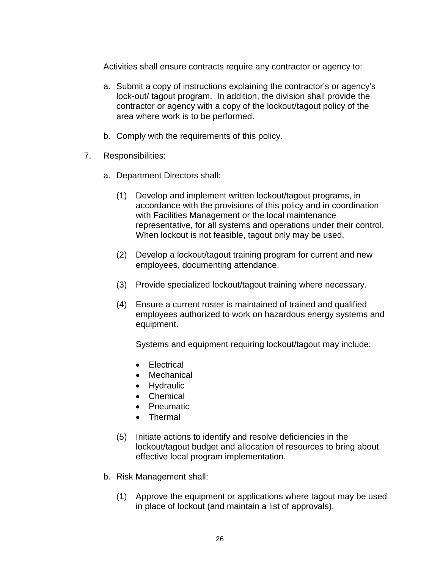Activities shall ensure contracts require any contractor or agency to:

- a. Submit a copy of instructions explaining the contractor's or agency's lock-out/ tagout program. In addition, the division shall provide the contractor or agency with a copy of the lockout/tagout policy of the area where work is to be performed.
- b. Comply with the requirements of this policy.
- 7. Responsibilities:
	- a. Department Directors shall:
		- (1) Develop and implement written lockout/tagout programs, in accordance with the provisions of this policy and in coordination with Facilities Management or the local maintenance representative, for all systems and operations under their control. When lockout is not feasible, tagout only may be used.
		- (2) Develop a lockout/tagout training program for current and new employees, documenting attendance.
		- (3) Provide specialized lockout/tagout training where necessary.
		- (4) Ensure a current roster is maintained of trained and qualified employees authorized to work on hazardous energy systems and equipment.

Systems and equipment requiring lockout/tagout may include:

- Electrical
- Mechanical
- Hydraulic
- Chemical
- Pneumatic
- Thermal
- (5) Initiate actions to identify and resolve deficiencies in the lockout/tagout budget and allocation of resources to bring about effective local program implementation.
- b. Risk Management shall:
	- (1) Approve the equipment or applications where tagout may be used in place of lockout (and maintain a list of approvals).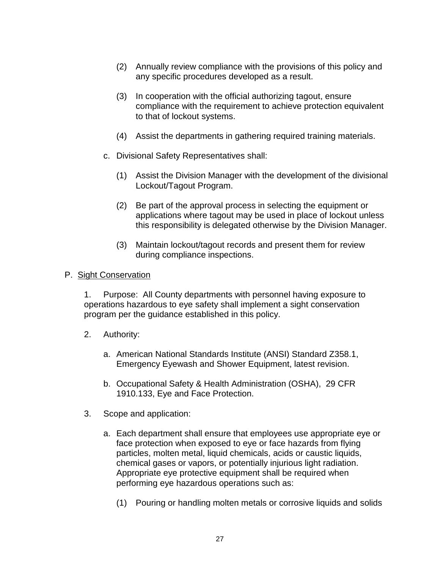- (2) Annually review compliance with the provisions of this policy and any specific procedures developed as a result.
- (3) In cooperation with the official authorizing tagout, ensure compliance with the requirement to achieve protection equivalent to that of lockout systems.
- (4) Assist the departments in gathering required training materials.
- c. Divisional Safety Representatives shall:
	- (1) Assist the Division Manager with the development of the divisional Lockout/Tagout Program.
	- (2) Be part of the approval process in selecting the equipment or applications where tagout may be used in place of lockout unless this responsibility is delegated otherwise by the Division Manager.
	- (3) Maintain lockout/tagout records and present them for review during compliance inspections.

#### P. Sight Conservation

1. Purpose: All County departments with personnel having exposure to operations hazardous to eye safety shall implement a sight conservation program per the guidance established in this policy.

- 2. Authority:
	- a. American National Standards Institute (ANSI) Standard Z358.1, Emergency Eyewash and Shower Equipment, latest revision.
	- b. Occupational Safety & Health Administration (OSHA), 29 CFR 1910.133, Eye and Face Protection.
- 3. Scope and application:
	- a. Each department shall ensure that employees use appropriate eye or face protection when exposed to eye or face hazards from flying particles, molten metal, liquid chemicals, acids or caustic liquids, chemical gases or vapors, or potentially injurious light radiation. Appropriate eye protective equipment shall be required when performing eye hazardous operations such as:
		- (1) Pouring or handling molten metals or corrosive liquids and solids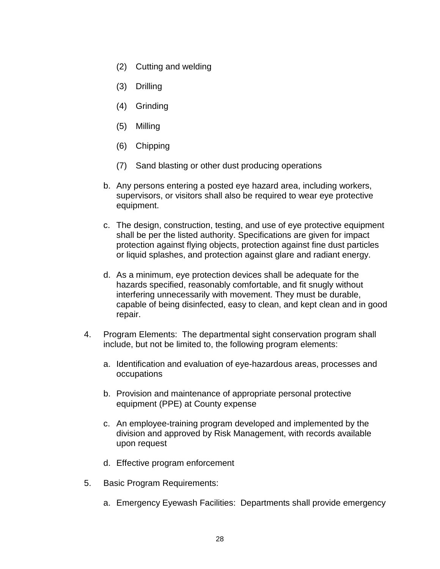- (2) Cutting and welding
- (3) Drilling
- (4) Grinding
- (5) Milling
- (6) Chipping
- (7) Sand blasting or other dust producing operations
- b. Any persons entering a posted eye hazard area, including workers, supervisors, or visitors shall also be required to wear eye protective equipment.
- c. The design, construction, testing, and use of eye protective equipment shall be per the listed authority. Specifications are given for impact protection against flying objects, protection against fine dust particles or liquid splashes, and protection against glare and radiant energy.
- d. As a minimum, eye protection devices shall be adequate for the hazards specified, reasonably comfortable, and fit snugly without interfering unnecessarily with movement. They must be durable, capable of being disinfected, easy to clean, and kept clean and in good repair.
- 4. Program Elements: The departmental sight conservation program shall include, but not be limited to, the following program elements:
	- a. Identification and evaluation of eye-hazardous areas, processes and occupations
	- b. Provision and maintenance of appropriate personal protective equipment (PPE) at County expense
	- c. An employee-training program developed and implemented by the division and approved by Risk Management, with records available upon request
	- d. Effective program enforcement
- 5. Basic Program Requirements:
	- a. Emergency Eyewash Facilities: Departments shall provide emergency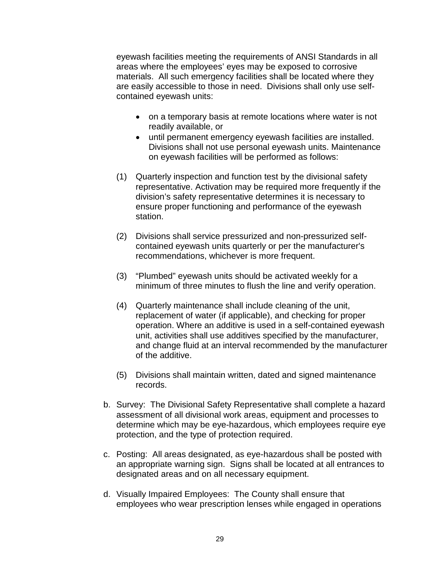eyewash facilities meeting the requirements of ANSI Standards in all areas where the employees' eyes may be exposed to corrosive materials. All such emergency facilities shall be located where they are easily accessible to those in need. Divisions shall only use selfcontained eyewash units:

- on a temporary basis at remote locations where water is not readily available, or
- until permanent emergency eyewash facilities are installed. Divisions shall not use personal eyewash units. Maintenance on eyewash facilities will be performed as follows:
- (1) Quarterly inspection and function test by the divisional safety representative. Activation may be required more frequently if the division's safety representative determines it is necessary to ensure proper functioning and performance of the eyewash station.
- (2) Divisions shall service pressurized and non-pressurized selfcontained eyewash units quarterly or per the manufacturer's recommendations, whichever is more frequent.
- (3) "Plumbed" eyewash units should be activated weekly for a minimum of three minutes to flush the line and verify operation.
- (4) Quarterly maintenance shall include cleaning of the unit, replacement of water (if applicable), and checking for proper operation. Where an additive is used in a self-contained eyewash unit, activities shall use additives specified by the manufacturer, and change fluid at an interval recommended by the manufacturer of the additive.
- (5) Divisions shall maintain written, dated and signed maintenance records.
- b. Survey: The Divisional Safety Representative shall complete a hazard assessment of all divisional work areas, equipment and processes to determine which may be eye-hazardous, which employees require eye protection, and the type of protection required.
- c. Posting: All areas designated, as eye-hazardous shall be posted with an appropriate warning sign. Signs shall be located at all entrances to designated areas and on all necessary equipment.
- d. Visually Impaired Employees: The County shall ensure that employees who wear prescription lenses while engaged in operations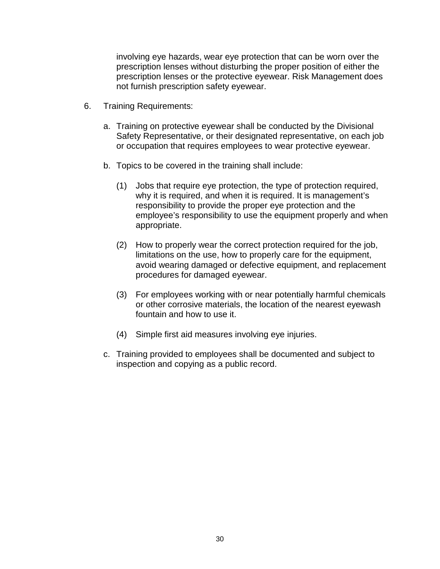involving eye hazards, wear eye protection that can be worn over the prescription lenses without disturbing the proper position of either the prescription lenses or the protective eyewear. Risk Management does not furnish prescription safety eyewear.

- 6. Training Requirements:
	- a. Training on protective eyewear shall be conducted by the Divisional Safety Representative, or their designated representative, on each job or occupation that requires employees to wear protective eyewear.
	- b. Topics to be covered in the training shall include:
		- (1) Jobs that require eye protection, the type of protection required, why it is required, and when it is required. It is management's responsibility to provide the proper eye protection and the employee's responsibility to use the equipment properly and when appropriate.
		- (2) How to properly wear the correct protection required for the job, limitations on the use, how to properly care for the equipment, avoid wearing damaged or defective equipment, and replacement procedures for damaged eyewear.
		- (3) For employees working with or near potentially harmful chemicals or other corrosive materials, the location of the nearest eyewash fountain and how to use it.
		- (4) Simple first aid measures involving eye injuries.
	- c. Training provided to employees shall be documented and subject to inspection and copying as a public record.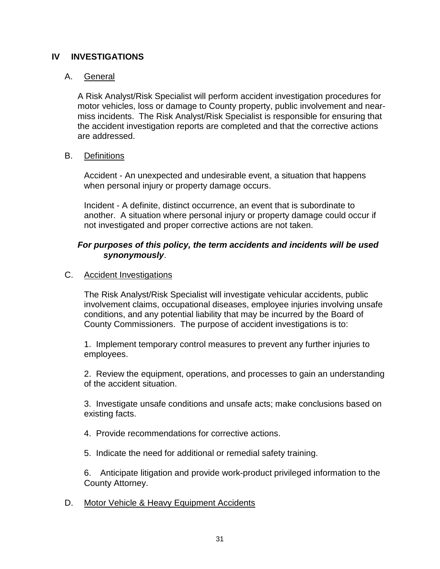#### **IV INVESTIGATIONS**

#### A. General

A Risk Analyst/Risk Specialist will perform accident investigation procedures for motor vehicles, loss or damage to County property, public involvement and nearmiss incidents. The Risk Analyst/Risk Specialist is responsible for ensuring that the accident investigation reports are completed and that the corrective actions are addressed.

#### B. Definitions

Accident - An unexpected and undesirable event, a situation that happens when personal injury or property damage occurs.

Incident - A definite, distinct occurrence, an event that is subordinate to another. A situation where personal injury or property damage could occur if not investigated and proper corrective actions are not taken.

#### *For purposes of this policy, the term accidents and incidents will be used synonymously*.

#### C. Accident Investigations

The Risk Analyst/Risk Specialist will investigate vehicular accidents, public involvement claims, occupational diseases, employee injuries involving unsafe conditions, and any potential liability that may be incurred by the Board of County Commissioners. The purpose of accident investigations is to:

1. Implement temporary control measures to prevent any further injuries to employees.

2. Review the equipment, operations, and processes to gain an understanding of the accident situation.

3. Investigate unsafe conditions and unsafe acts; make conclusions based on existing facts.

4. Provide recommendations for corrective actions.

5. Indicate the need for additional or remedial safety training.

6. Anticipate litigation and provide work-product privileged information to the County Attorney.

#### D. Motor Vehicle & Heavy Equipment Accidents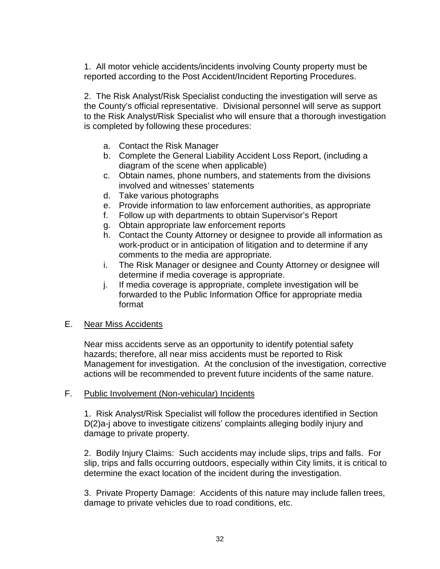1. All motor vehicle accidents/incidents involving County property must be reported according to the Post Accident/Incident Reporting Procedures.

2. The Risk Analyst/Risk Specialist conducting the investigation will serve as the County's official representative. Divisional personnel will serve as support to the Risk Analyst/Risk Specialist who will ensure that a thorough investigation is completed by following these procedures:

- a. Contact the Risk Manager
- b. Complete the General Liability Accident Loss Report, (including a diagram of the scene when applicable)
- c. Obtain names, phone numbers, and statements from the divisions involved and witnesses' statements
- d. Take various photographs
- e. Provide information to law enforcement authorities, as appropriate
- f. Follow up with departments to obtain Supervisor's Report
- g. Obtain appropriate law enforcement reports
- h. Contact the County Attorney or designee to provide all information as work-product or in anticipation of litigation and to determine if any comments to the media are appropriate.
- i. The Risk Manager or designee and County Attorney or designee will determine if media coverage is appropriate.
- j. If media coverage is appropriate, complete investigation will be forwarded to the Public Information Office for appropriate media format

#### E. Near Miss Accidents

Near miss accidents serve as an opportunity to identify potential safety hazards; therefore, all near miss accidents must be reported to Risk Management for investigation. At the conclusion of the investigation, corrective actions will be recommended to prevent future incidents of the same nature.

#### F. Public Involvement (Non-vehicular) Incidents

1. Risk Analyst/Risk Specialist will follow the procedures identified in Section D(2)a-j above to investigate citizens' complaints alleging bodily injury and damage to private property.

2. Bodily Injury Claims: Such accidents may include slips, trips and falls. For slip, trips and falls occurring outdoors, especially within City limits, it is critical to determine the exact location of the incident during the investigation.

3. Private Property Damage: Accidents of this nature may include fallen trees, damage to private vehicles due to road conditions, etc.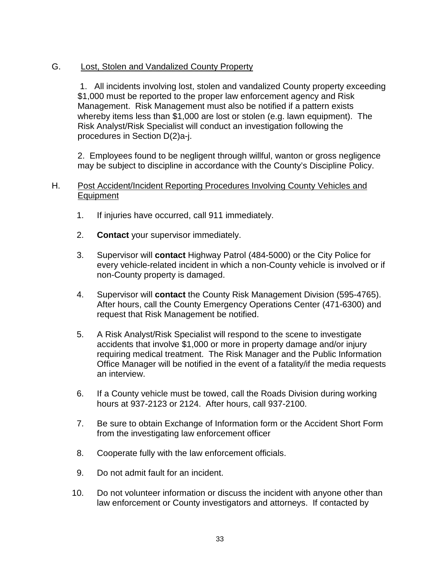#### G. Lost, Stolen and Vandalized County Property

1. All incidents involving lost, stolen and vandalized County property exceeding \$1,000 must be reported to the proper law enforcement agency and Risk Management. Risk Management must also be notified if a pattern exists whereby items less than \$1,000 are lost or stolen (e.g. lawn equipment). The Risk Analyst/Risk Specialist will conduct an investigation following the procedures in Section D(2)a-j.

2. Employees found to be negligent through willful, wanton or gross negligence may be subject to discipline in accordance with the County's Discipline Policy.

#### H. Post Accident/Incident Reporting Procedures Involving County Vehicles and Equipment

- 1. If injuries have occurred, call 911 immediately.
- 2. **Contact** your supervisor immediately.
- 3. Supervisor will **contact** Highway Patrol (484-5000) or the City Police for every vehicle-related incident in which a non-County vehicle is involved or if non-County property is damaged.
- 4. Supervisor will **contact** the County Risk Management Division (595-4765). After hours, call the County Emergency Operations Center (471-6300) and request that Risk Management be notified.
- 5. A Risk Analyst/Risk Specialist will respond to the scene to investigate accidents that involve \$1,000 or more in property damage and/or injury requiring medical treatment. The Risk Manager and the Public Information Office Manager will be notified in the event of a fatality/if the media requests an interview.
- 6. If a County vehicle must be towed, call the Roads Division during working hours at 937-2123 or 2124. After hours, call 937-2100.
- 7. Be sure to obtain Exchange of Information form or the Accident Short Form from the investigating law enforcement officer
- 8. Cooperate fully with the law enforcement officials.
- 9. Do not admit fault for an incident.
- 10. Do not volunteer information or discuss the incident with anyone other than law enforcement or County investigators and attorneys. If contacted by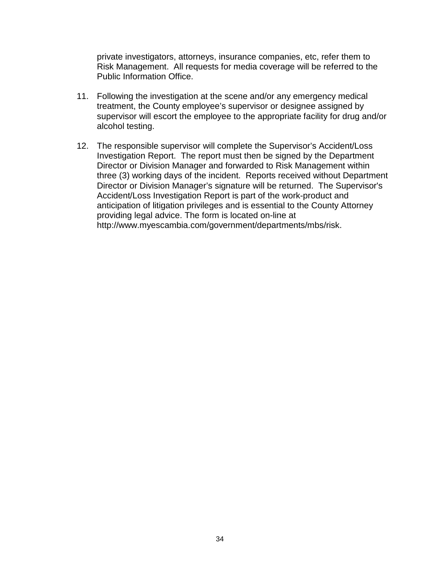private investigators, attorneys, insurance companies, etc, refer them to Risk Management. All requests for media coverage will be referred to the Public Information Office.

- 11. Following the investigation at the scene and/or any emergency medical treatment, the County employee's supervisor or designee assigned by supervisor will escort the employee to the appropriate facility for drug and/or alcohol testing.
- 12. The responsible supervisor will complete the Supervisor's Accident/Loss Investigation Report. The report must then be signed by the Department Director or Division Manager and forwarded to Risk Management within three (3) working days of the incident. Reports received without Department Director or Division Manager's signature will be returned. The Supervisor's Accident/Loss Investigation Report is part of the work-product and anticipation of litigation privileges and is essential to the County Attorney providing legal advice. The form is located on-line at http://www.myescambia.com/government/departments/mbs/risk.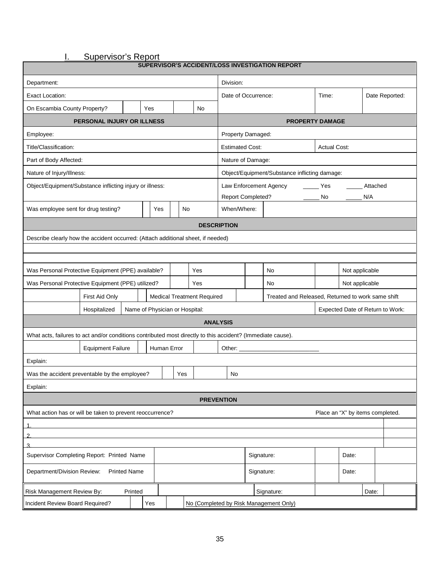I. Supervisor's Report

| SUPERVISOR'S ACCIDENT/LOSS INVESTIGATION REPORT                                                             |                          |         |  |             |    |                              |                                               |                                                   |  |  |                                        |                |  |       |  |
|-------------------------------------------------------------------------------------------------------------|--------------------------|---------|--|-------------|----|------------------------------|-----------------------------------------------|---------------------------------------------------|--|--|----------------------------------------|----------------|--|-------|--|
| Department:                                                                                                 |                          |         |  |             |    |                              | Division:                                     |                                                   |  |  |                                        |                |  |       |  |
| Exact Location:                                                                                             |                          |         |  |             |    | Date of Occurrence:<br>Time: |                                               |                                                   |  |  |                                        | Date Reported: |  |       |  |
| On Escambia County Property?                                                                                |                          |         |  | Yes         |    |                              | No                                            |                                                   |  |  |                                        |                |  |       |  |
| PERSONAL INJURY OR ILLNESS                                                                                  |                          |         |  |             |    |                              | <b>PROPERTY DAMAGE</b>                        |                                                   |  |  |                                        |                |  |       |  |
| Employee:                                                                                                   |                          |         |  |             |    | Property Damaged:            |                                               |                                                   |  |  |                                        |                |  |       |  |
| Title/Classification:                                                                                       |                          |         |  |             |    |                              | <b>Actual Cost:</b><br><b>Estimated Cost:</b> |                                                   |  |  |                                        |                |  |       |  |
| Part of Body Affected:                                                                                      |                          |         |  |             |    |                              |                                               | Nature of Damage:                                 |  |  |                                        |                |  |       |  |
| Nature of Injury/Illness:                                                                                   |                          |         |  |             |    |                              |                                               | Object/Equipment/Substance inflicting damage:     |  |  |                                        |                |  |       |  |
| Object/Equipment/Substance inflicting injury or illness:                                                    |                          |         |  |             |    |                              |                                               | Law Enforcement Agency<br>Attached<br>Yes         |  |  |                                        |                |  |       |  |
|                                                                                                             |                          |         |  |             |    |                              |                                               | Report Completed?<br>N/A<br>No.                   |  |  |                                        |                |  |       |  |
| Was employee sent for drug testing?                                                                         |                          |         |  | Yes         | No |                              |                                               | When/Where:                                       |  |  |                                        |                |  |       |  |
|                                                                                                             |                          |         |  |             |    |                              |                                               | <b>DESCRIPTION</b>                                |  |  |                                        |                |  |       |  |
| Describe clearly how the accident occurred: (Attach additional sheet, if needed)                            |                          |         |  |             |    |                              |                                               |                                                   |  |  |                                        |                |  |       |  |
|                                                                                                             |                          |         |  |             |    |                              |                                               |                                                   |  |  |                                        |                |  |       |  |
|                                                                                                             |                          |         |  |             |    |                              |                                               |                                                   |  |  |                                        |                |  |       |  |
| Was Personal Protective Equipment (PPE) available?                                                          |                          |         |  |             |    |                              | Yes                                           |                                                   |  |  | No                                     | Not applicable |  |       |  |
| Was Personal Protective Equipment (PPE) utilized?                                                           |                          |         |  |             |    |                              | Yes                                           |                                                   |  |  | No                                     | Not applicable |  |       |  |
|                                                                                                             | First Aid Only           |         |  |             |    |                              | <b>Medical Treatment Required</b>             | Treated and Released, Returned to work same shift |  |  |                                        |                |  |       |  |
| Hospitalized<br>Name of Physician or Hospital:                                                              |                          |         |  |             |    |                              | Expected Date of Return to Work:              |                                                   |  |  |                                        |                |  |       |  |
|                                                                                                             |                          |         |  |             |    |                              |                                               | <b>ANALYSIS</b>                                   |  |  |                                        |                |  |       |  |
| What acts, failures to act and/or conditions contributed most directly to this accident? (Immediate cause). |                          |         |  |             |    |                              |                                               |                                                   |  |  |                                        |                |  |       |  |
|                                                                                                             | <b>Equipment Failure</b> |         |  | Human Error |    |                              |                                               | Other: $\_$                                       |  |  |                                        |                |  |       |  |
| Explain:                                                                                                    |                          |         |  |             |    |                              |                                               |                                                   |  |  |                                        |                |  |       |  |
| Was the accident preventable by the employee?                                                               |                          |         |  |             |    | Yes                          |                                               | No                                                |  |  |                                        |                |  |       |  |
| Explain:                                                                                                    |                          |         |  |             |    |                              |                                               |                                                   |  |  |                                        |                |  |       |  |
|                                                                                                             |                          |         |  |             |    |                              |                                               | <b>PREVENTION</b>                                 |  |  |                                        |                |  |       |  |
| What action has or will be taken to prevent reoccurrence?<br>Place an "X" by items completed.               |                          |         |  |             |    |                              |                                               |                                                   |  |  |                                        |                |  |       |  |
|                                                                                                             |                          |         |  |             |    |                              |                                               |                                                   |  |  |                                        |                |  |       |  |
| $\overline{2}$<br>3                                                                                         |                          |         |  |             |    |                              |                                               |                                                   |  |  |                                        |                |  |       |  |
| Supervisor Completing Report: Printed Name<br>Signature:<br>Date:                                           |                          |         |  |             |    |                              |                                               |                                                   |  |  |                                        |                |  |       |  |
| Department/Division Review:<br><b>Printed Name</b><br>Signature:<br>Date:                                   |                          |         |  |             |    |                              |                                               |                                                   |  |  |                                        |                |  |       |  |
| Risk Management Review By:                                                                                  |                          | Printed |  |             |    |                              |                                               |                                                   |  |  | Signature:                             |                |  | Date: |  |
| Incident Review Board Required?                                                                             |                          |         |  | Yes         |    |                              |                                               |                                                   |  |  | No (Completed by Risk Management Only) |                |  |       |  |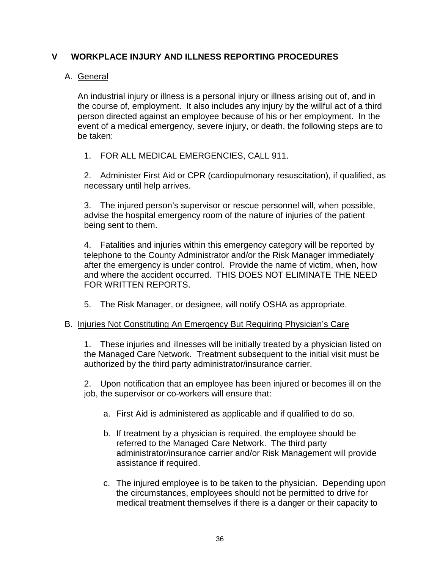#### **V WORKPLACE INJURY AND ILLNESS REPORTING PROCEDURES**

#### A. General

An industrial injury or illness is a personal injury or illness arising out of, and in the course of, employment. It also includes any injury by the willful act of a third person directed against an employee because of his or her employment. In the event of a medical emergency, severe injury, or death, the following steps are to be taken:

1. FOR ALL MEDICAL EMERGENCIES, CALL 911.

2. Administer First Aid or CPR (cardiopulmonary resuscitation), if qualified, as necessary until help arrives.

3. The injured person's supervisor or rescue personnel will, when possible, advise the hospital emergency room of the nature of injuries of the patient being sent to them.

4. Fatalities and injuries within this emergency category will be reported by telephone to the County Administrator and/or the Risk Manager immediately after the emergency is under control. Provide the name of victim, when, how and where the accident occurred. THIS DOES NOT ELIMINATE THE NEED FOR WRITTEN REPORTS.

5. The Risk Manager, or designee, will notify OSHA as appropriate.

#### B. Injuries Not Constituting An Emergency But Requiring Physician's Care

1. These injuries and illnesses will be initially treated by a physician listed on the Managed Care Network. Treatment subsequent to the initial visit must be authorized by the third party administrator/insurance carrier.

2. Upon notification that an employee has been injured or becomes ill on the job, the supervisor or co-workers will ensure that:

- a. First Aid is administered as applicable and if qualified to do so.
- b. If treatment by a physician is required, the employee should be referred to the Managed Care Network. The third party administrator/insurance carrier and/or Risk Management will provide assistance if required.
- c. The injured employee is to be taken to the physician. Depending upon the circumstances, employees should not be permitted to drive for medical treatment themselves if there is a danger or their capacity to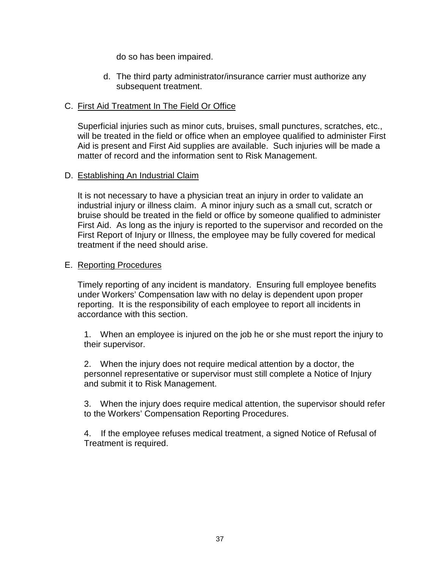do so has been impaired.

d. The third party administrator/insurance carrier must authorize any subsequent treatment.

### C. First Aid Treatment In The Field Or Office

Superficial injuries such as minor cuts, bruises, small punctures, scratches, etc., will be treated in the field or office when an employee qualified to administer First Aid is present and First Aid supplies are available. Such injuries will be made a matter of record and the information sent to Risk Management.

### D. Establishing An Industrial Claim

It is not necessary to have a physician treat an injury in order to validate an industrial injury or illness claim. A minor injury such as a small cut, scratch or bruise should be treated in the field or office by someone qualified to administer First Aid. As long as the injury is reported to the supervisor and recorded on the First Report of Injury or Illness, the employee may be fully covered for medical treatment if the need should arise.

#### E. Reporting Procedures

Timely reporting of any incident is mandatory. Ensuring full employee benefits under Workers' Compensation law with no delay is dependent upon proper reporting. It is the responsibility of each employee to report all incidents in accordance with this section.

1. When an employee is injured on the job he or she must report the injury to their supervisor.

2. When the injury does not require medical attention by a doctor, the personnel representative or supervisor must still complete a Notice of Injury and submit it to Risk Management.

3. When the injury does require medical attention, the supervisor should refer to the Workers' Compensation Reporting Procedures.

4. If the employee refuses medical treatment, a signed Notice of Refusal of Treatment is required.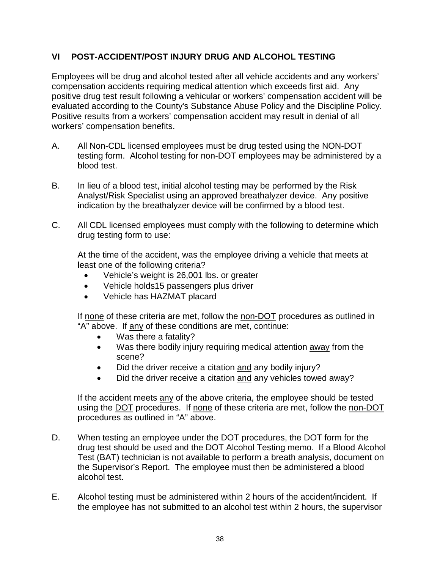# **VI POST-ACCIDENT/POST INJURY DRUG AND ALCOHOL TESTING**

Employees will be drug and alcohol tested after all vehicle accidents and any workers' compensation accidents requiring medical attention which exceeds first aid. Any positive drug test result following a vehicular or workers' compensation accident will be evaluated according to the County's Substance Abuse Policy and the Discipline Policy. Positive results from a workers' compensation accident may result in denial of all workers' compensation benefits.

- A. All Non-CDL licensed employees must be drug tested using the NON-DOT testing form. Alcohol testing for non-DOT employees may be administered by a blood test.
- B. In lieu of a blood test, initial alcohol testing may be performed by the Risk Analyst/Risk Specialist using an approved breathalyzer device. Any positive indication by the breathalyzer device will be confirmed by a blood test.
- C. All CDL licensed employees must comply with the following to determine which drug testing form to use:

At the time of the accident, was the employee driving a vehicle that meets at least one of the following criteria?

- Vehicle's weight is 26,001 lbs. or greater
- Vehicle holds15 passengers plus driver
- Vehicle has HAZMAT placard

If none of these criteria are met, follow the non-DOT procedures as outlined in "A" above. If any of these conditions are met, continue:

- Was there a fatality?
- Was there bodily injury requiring medical attention away from the scene?
- Did the driver receive a citation and any bodily injury?
- Did the driver receive a citation and any vehicles towed away?

If the accident meets any of the above criteria, the employee should be tested using the DOT procedures. If none of these criteria are met, follow the non-DOT procedures as outlined in "A" above.

- D. When testing an employee under the DOT procedures, the DOT form for the drug test should be used and the DOT Alcohol Testing memo. If a Blood Alcohol Test (BAT) technician is not available to perform a breath analysis, document on the Supervisor's Report. The employee must then be administered a blood alcohol test.
- E. Alcohol testing must be administered within 2 hours of the accident/incident. If the employee has not submitted to an alcohol test within 2 hours, the supervisor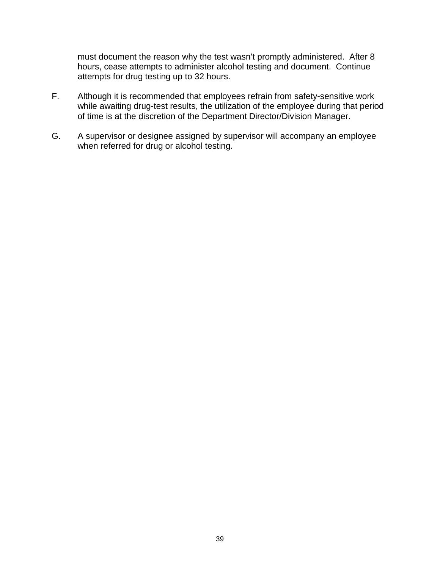must document the reason why the test wasn't promptly administered. After 8 hours, cease attempts to administer alcohol testing and document. Continue attempts for drug testing up to 32 hours.

- F. Although it is recommended that employees refrain from safety-sensitive work while awaiting drug-test results, the utilization of the employee during that period of time is at the discretion of the Department Director/Division Manager.
- G. A supervisor or designee assigned by supervisor will accompany an employee when referred for drug or alcohol testing.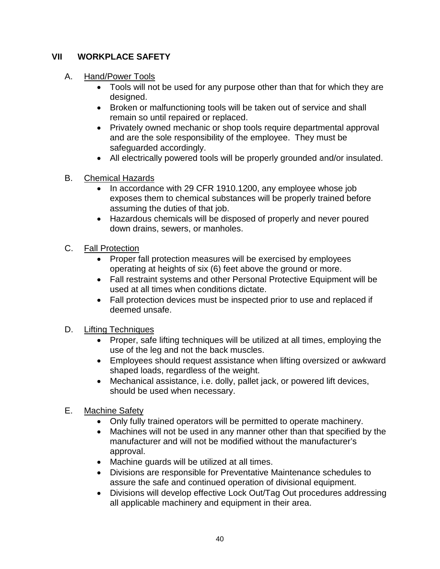# **VII WORKPLACE SAFETY**

# A. Hand/Power Tools

- Tools will not be used for any purpose other than that for which they are designed.
- Broken or malfunctioning tools will be taken out of service and shall remain so until repaired or replaced.
- Privately owned mechanic or shop tools require departmental approval and are the sole responsibility of the employee. They must be safeguarded accordingly.
- All electrically powered tools will be properly grounded and/or insulated.
- B. Chemical Hazards
	- In accordance with 29 CFR 1910.1200, any employee whose job exposes them to chemical substances will be properly trained before assuming the duties of that job.
	- Hazardous chemicals will be disposed of properly and never poured down drains, sewers, or manholes.
- C. Fall Protection
	- Proper fall protection measures will be exercised by employees operating at heights of six (6) feet above the ground or more.
	- Fall restraint systems and other Personal Protective Equipment will be used at all times when conditions dictate.
	- Fall protection devices must be inspected prior to use and replaced if deemed unsafe.
- D. Lifting Techniques
	- Proper, safe lifting techniques will be utilized at all times, employing the use of the leg and not the back muscles.
	- Employees should request assistance when lifting oversized or awkward shaped loads, regardless of the weight.
	- Mechanical assistance, i.e. dolly, pallet jack, or powered lift devices, should be used when necessary.
- E. Machine Safety
	- Only fully trained operators will be permitted to operate machinery.
	- Machines will not be used in any manner other than that specified by the manufacturer and will not be modified without the manufacturer's approval.
	- Machine guards will be utilized at all times.
	- Divisions are responsible for Preventative Maintenance schedules to assure the safe and continued operation of divisional equipment.
	- Divisions will develop effective Lock Out/Tag Out procedures addressing all applicable machinery and equipment in their area.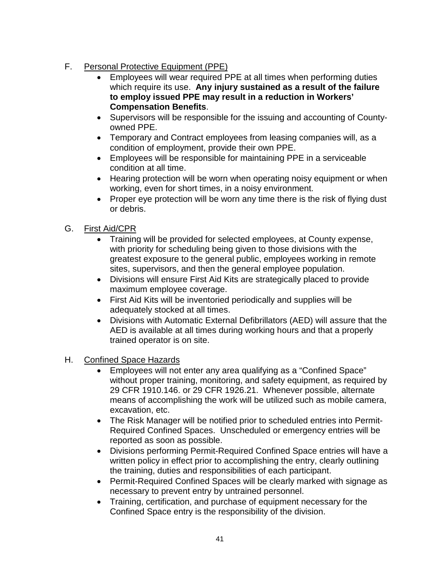- F. Personal Protective Equipment (PPE)
	- Employees will wear required PPE at all times when performing duties which require its use. **Any injury sustained as a result of the failure to employ issued PPE may result in a reduction in Workers' Compensation Benefits**.
	- Supervisors will be responsible for the issuing and accounting of Countyowned PPE.
	- Temporary and Contract employees from leasing companies will, as a condition of employment, provide their own PPE.
	- Employees will be responsible for maintaining PPE in a serviceable condition at all time.
	- Hearing protection will be worn when operating noisy equipment or when working, even for short times, in a noisy environment.
	- Proper eye protection will be worn any time there is the risk of flying dust or debris.
- G. First Aid/CPR
	- Training will be provided for selected employees, at County expense, with priority for scheduling being given to those divisions with the greatest exposure to the general public, employees working in remote sites, supervisors, and then the general employee population.
	- Divisions will ensure First Aid Kits are strategically placed to provide maximum employee coverage.
	- First Aid Kits will be inventoried periodically and supplies will be adequately stocked at all times.
	- Divisions with Automatic External Defibrillators (AED) will assure that the AED is available at all times during working hours and that a properly trained operator is on site.
- H. Confined Space Hazards
	- Employees will not enter any area qualifying as a "Confined Space" without proper training, monitoring, and safety equipment, as required by 29 CFR 1910.146. or 29 CFR 1926.21. Whenever possible, alternate means of accomplishing the work will be utilized such as mobile camera, excavation, etc.
	- The Risk Manager will be notified prior to scheduled entries into Permit-Required Confined Spaces. Unscheduled or emergency entries will be reported as soon as possible.
	- Divisions performing Permit-Required Confined Space entries will have a written policy in effect prior to accomplishing the entry, clearly outlining the training, duties and responsibilities of each participant.
	- Permit-Required Confined Spaces will be clearly marked with signage as necessary to prevent entry by untrained personnel.
	- Training, certification, and purchase of equipment necessary for the Confined Space entry is the responsibility of the division.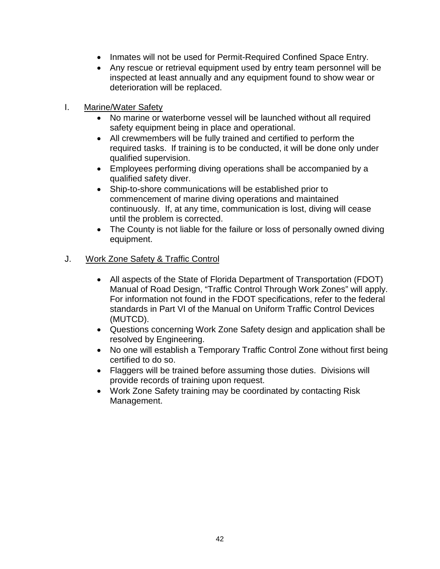- Inmates will not be used for Permit-Required Confined Space Entry.
- Any rescue or retrieval equipment used by entry team personnel will be inspected at least annually and any equipment found to show wear or deterioration will be replaced.
- I. Marine/Water Safety
	- No marine or waterborne vessel will be launched without all required safety equipment being in place and operational.
	- All crewmembers will be fully trained and certified to perform the required tasks. If training is to be conducted, it will be done only under qualified supervision.
	- Employees performing diving operations shall be accompanied by a qualified safety diver.
	- Ship-to-shore communications will be established prior to commencement of marine diving operations and maintained continuously. If, at any time, communication is lost, diving will cease until the problem is corrected.
	- The County is not liable for the failure or loss of personally owned diving equipment.

## J. Work Zone Safety & Traffic Control

- All aspects of the State of Florida Department of Transportation (FDOT) Manual of Road Design, "Traffic Control Through Work Zones" will apply. For information not found in the FDOT specifications, refer to the federal standards in Part VI of the Manual on Uniform Traffic Control Devices (MUTCD).
- Questions concerning Work Zone Safety design and application shall be resolved by Engineering.
- No one will establish a Temporary Traffic Control Zone without first being certified to do so.
- Flaggers will be trained before assuming those duties. Divisions will provide records of training upon request.
- Work Zone Safety training may be coordinated by contacting Risk Management.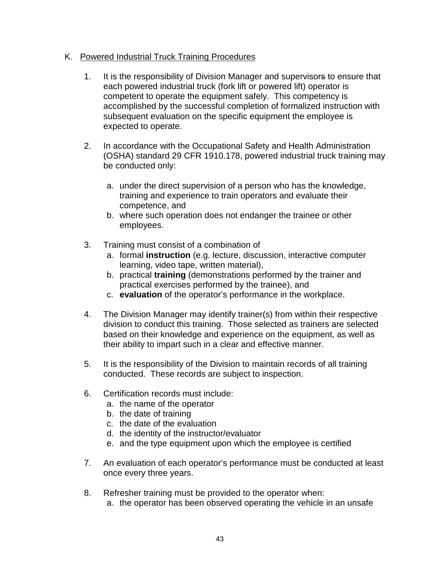# K. Powered Industrial Truck Training Procedures

- 1. It is the responsibility of Division Manager and supervisors to ensure that each powered industrial truck (fork lift or powered lift) operator is competent to operate the equipment safely. This competency is accomplished by the successful completion of formalized instruction with subsequent evaluation on the specific equipment the employee is expected to operate.
- 2. In accordance with the Occupational Safety and Health Administration (OSHA) standard 29 CFR 1910.178, powered industrial truck training may be conducted only:
	- a. under the direct supervision of a person who has the knowledge, training and experience to train operators and evaluate their competence, and
	- b. where such operation does not endanger the trainee or other employees.
- 3. Training must consist of a combination of
	- a. formal **instruction** (e.g. lecture, discussion, interactive computer learning, video tape, written material),
	- b. practical **training** (demonstrations performed by the trainer and practical exercises performed by the trainee), and
	- c. **evaluation** of the operator's performance in the workplace.
- 4. The Division Manager may identify trainer(s) from within their respective division to conduct this training. Those selected as trainers are selected based on their knowledge and experience on the equipment, as well as their ability to impart such in a clear and effective manner.
- 5. It is the responsibility of the Division to maintain records of all training conducted. These records are subject to inspection.
- 6. Certification records must include:
	- a. the name of the operator
	- b. the date of training
	- c. the date of the evaluation
	- d. the identity of the instructor/evaluator
	- e. and the type equipment upon which the employee is certified
- 7. An evaluation of each operator's performance must be conducted at least once every three years.
- 8. Refresher training must be provided to the operator when:
	- a. the operator has been observed operating the vehicle in an unsafe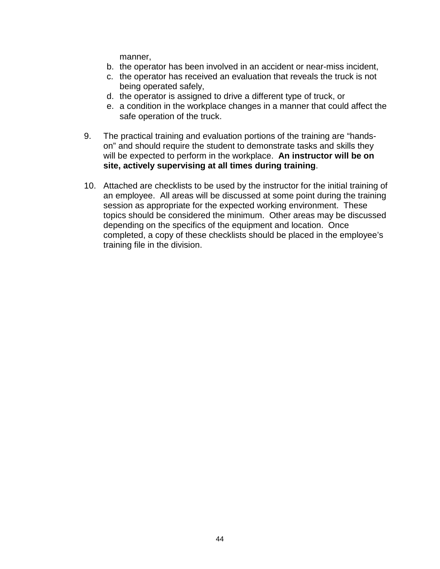manner,

- b. the operator has been involved in an accident or near-miss incident,
- c. the operator has received an evaluation that reveals the truck is not being operated safely,
- d. the operator is assigned to drive a different type of truck, or
- e. a condition in the workplace changes in a manner that could affect the safe operation of the truck.
- 9. The practical training and evaluation portions of the training are "handson" and should require the student to demonstrate tasks and skills they will be expected to perform in the workplace. **An instructor will be on site, actively supervising at all times during training**.
- 10. Attached are checklists to be used by the instructor for the initial training of an employee. All areas will be discussed at some point during the training session as appropriate for the expected working environment. These topics should be considered the minimum. Other areas may be discussed depending on the specifics of the equipment and location. Once completed, a copy of these checklists should be placed in the employee's training file in the division.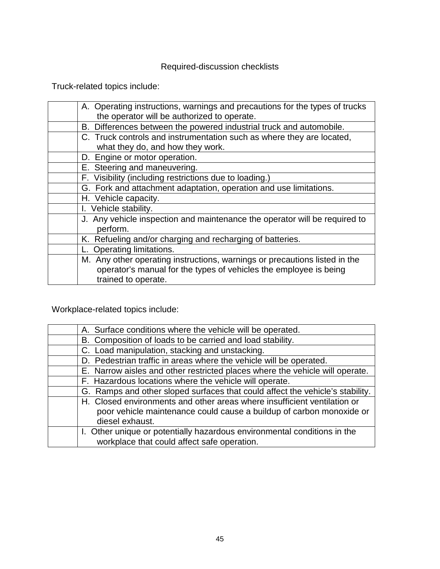# Required-discussion checklists

Truck-related topics include:

| A. Operating instructions, warnings and precautions for the types of trucks |
|-----------------------------------------------------------------------------|
| the operator will be authorized to operate.                                 |
| B. Differences between the powered industrial truck and automobile.         |
| C. Truck controls and instrumentation such as where they are located,       |
| what they do, and how they work.                                            |
| D. Engine or motor operation.                                               |
| E. Steering and maneuvering.                                                |
| F. Visibility (including restrictions due to loading.)                      |
| G. Fork and attachment adaptation, operation and use limitations.           |
| H. Vehicle capacity.                                                        |
| I. Vehicle stability.                                                       |
| J. Any vehicle inspection and maintenance the operator will be required to  |
| perform.                                                                    |
| K. Refueling and/or charging and recharging of batteries.                   |
| Operating limitations.                                                      |
| M. Any other operating instructions, warnings or precautions listed in the  |
| operator's manual for the types of vehicles the employee is being           |
| trained to operate.                                                         |
|                                                                             |

Workplace-related topics include:

| A. Surface conditions where the vehicle will be operated.                     |
|-------------------------------------------------------------------------------|
| B. Composition of loads to be carried and load stability.                     |
| C. Load manipulation, stacking and unstacking.                                |
| D. Pedestrian traffic in areas where the vehicle will be operated.            |
| E. Narrow aisles and other restricted places where the vehicle will operate.  |
| F. Hazardous locations where the vehicle will operate.                        |
| G. Ramps and other sloped surfaces that could affect the vehicle's stability. |
| H. Closed environments and other areas where insufficient ventilation or      |
| poor vehicle maintenance could cause a buildup of carbon monoxide or          |
| diesel exhaust.                                                               |
| I. Other unique or potentially hazardous environmental conditions in the      |
| workplace that could affect safe operation.                                   |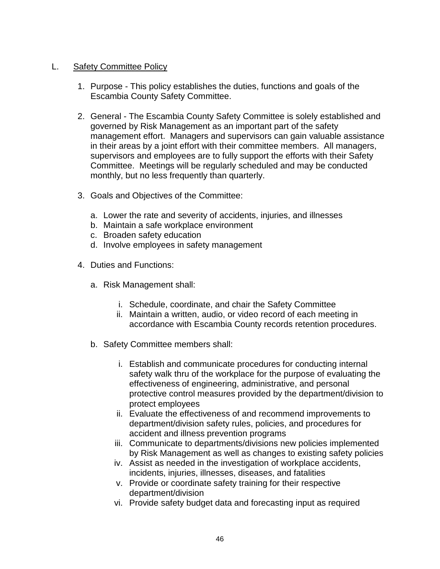### L. Safety Committee Policy

- 1. Purpose This policy establishes the duties, functions and goals of the Escambia County Safety Committee.
- 2. General The Escambia County Safety Committee is solely established and governed by Risk Management as an important part of the safety management effort. Managers and supervisors can gain valuable assistance in their areas by a joint effort with their committee members. All managers, supervisors and employees are to fully support the efforts with their Safety Committee. Meetings will be regularly scheduled and may be conducted monthly, but no less frequently than quarterly.
- 3. Goals and Objectives of the Committee:
	- a. Lower the rate and severity of accidents, injuries, and illnesses
	- b. Maintain a safe workplace environment
	- c. Broaden safety education
	- d. Involve employees in safety management
- 4. Duties and Functions:
	- a. Risk Management shall:
		- i. Schedule, coordinate, and chair the Safety Committee
		- ii. Maintain a written, audio, or video record of each meeting in accordance with Escambia County records retention procedures.
	- b. Safety Committee members shall:
		- i. Establish and communicate procedures for conducting internal safety walk thru of the workplace for the purpose of evaluating the effectiveness of engineering, administrative, and personal protective control measures provided by the department/division to protect employees
		- ii. Evaluate the effectiveness of and recommend improvements to department/division safety rules, policies, and procedures for accident and illness prevention programs
		- iii. Communicate to departments/divisions new policies implemented by Risk Management as well as changes to existing safety policies
		- iv. Assist as needed in the investigation of workplace accidents, incidents, injuries, illnesses, diseases, and fatalities
		- v. Provide or coordinate safety training for their respective department/division
		- vi. Provide safety budget data and forecasting input as required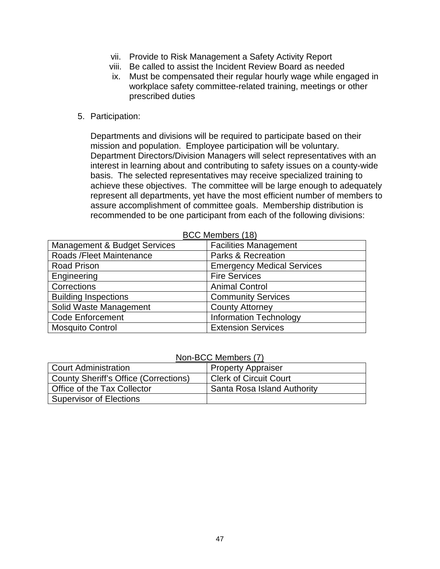- vii. Provide to Risk Management a Safety Activity Report
- viii. Be called to assist the Incident Review Board as needed
- ix. Must be compensated their regular hourly wage while engaged in workplace safety committee-related training, meetings or other prescribed duties
- 5. Participation:

Departments and divisions will be required to participate based on their mission and population. Employee participation will be voluntary. Department Directors/Division Managers will select representatives with an interest in learning about and contributing to safety issues on a county-wide basis. The selected representatives may receive specialized training to achieve these objectives. The committee will be large enough to adequately represent all departments, yet have the most efficient number of members to assure accomplishment of committee goals. Membership distribution is recommended to be one participant from each of the following divisions:

|                                         | <b>DOO MOMMOO (TO)</b>            |
|-----------------------------------------|-----------------------------------|
| <b>Management &amp; Budget Services</b> | <b>Facilities Management</b>      |
| Roads / Fleet Maintenance               | <b>Parks &amp; Recreation</b>     |
| <b>Road Prison</b>                      | <b>Emergency Medical Services</b> |
| Engineering                             | <b>Fire Services</b>              |
| Corrections                             | <b>Animal Control</b>             |
| <b>Building Inspections</b>             | <b>Community Services</b>         |
| Solid Waste Management                  | <b>County Attorney</b>            |
| <b>Code Enforcement</b>                 | <b>Information Technology</b>     |
| <b>Mosquito Control</b>                 | <b>Extension Services</b>         |

BCC Members (18)

#### Non-BCC Members (7)

| <b>Court Administration</b>                  | <b>Property Appraiser</b>     |  |
|----------------------------------------------|-------------------------------|--|
| <b>County Sheriff's Office (Corrections)</b> | <b>Clerk of Circuit Court</b> |  |
| Office of the Tax Collector                  | Santa Rosa Island Authority   |  |
| <b>Supervisor of Elections</b>               |                               |  |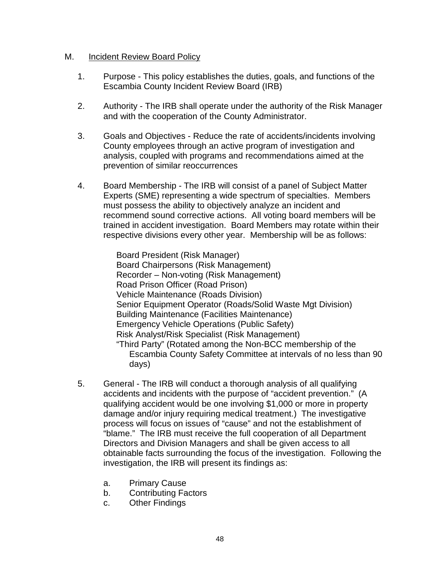### M. Incident Review Board Policy

- 1. Purpose This policy establishes the duties, goals, and functions of the Escambia County Incident Review Board (IRB)
- 2. Authority The IRB shall operate under the authority of the Risk Manager and with the cooperation of the County Administrator.
- 3. Goals and Objectives Reduce the rate of accidents/incidents involving County employees through an active program of investigation and analysis, coupled with programs and recommendations aimed at the prevention of similar reoccurrences
- 4. Board Membership The IRB will consist of a panel of Subject Matter Experts (SME) representing a wide spectrum of specialties. Members must possess the ability to objectively analyze an incident and recommend sound corrective actions. All voting board members will be trained in accident investigation. Board Members may rotate within their respective divisions every other year. Membership will be as follows:

Board President (Risk Manager) Board Chairpersons (Risk Management) Recorder – Non-voting (Risk Management) Road Prison Officer (Road Prison) Vehicle Maintenance (Roads Division) Senior Equipment Operator (Roads/Solid Waste Mgt Division) Building Maintenance (Facilities Maintenance) Emergency Vehicle Operations (Public Safety) Risk Analyst/Risk Specialist (Risk Management) "Third Party" (Rotated among the Non-BCC membership of the Escambia County Safety Committee at intervals of no less than 90 days)

- 5. General The IRB will conduct a thorough analysis of all qualifying accidents and incidents with the purpose of "accident prevention." (A qualifying accident would be one involving \$1,000 or more in property damage and/or injury requiring medical treatment.) The investigative process will focus on issues of "cause" and not the establishment of "blame." The IRB must receive the full cooperation of all Department Directors and Division Managers and shall be given access to all obtainable facts surrounding the focus of the investigation. Following the investigation, the IRB will present its findings as:
	- a. Primary Cause
	- b. Contributing Factors
	- c. Other Findings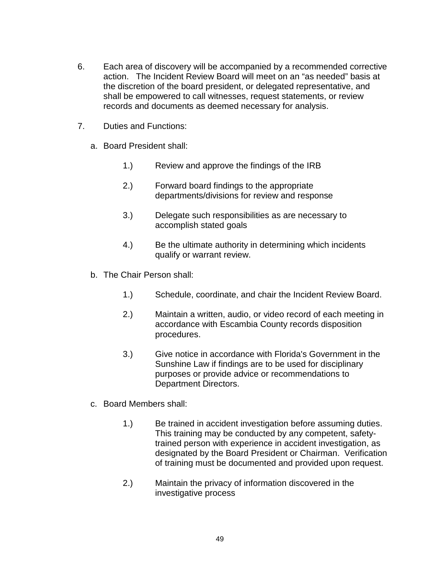- 6. Each area of discovery will be accompanied by a recommended corrective action. The Incident Review Board will meet on an "as needed" basis at the discretion of the board president, or delegated representative, and shall be empowered to call witnesses, request statements, or review records and documents as deemed necessary for analysis.
- 7. Duties and Functions:
	- a. Board President shall:
		- 1.) Review and approve the findings of the IRB
		- 2.) Forward board findings to the appropriate departments/divisions for review and response
		- 3.) Delegate such responsibilities as are necessary to accomplish stated goals
		- 4.) Be the ultimate authority in determining which incidents qualify or warrant review.
	- b. The Chair Person shall:
		- 1.) Schedule, coordinate, and chair the Incident Review Board.
		- 2.) Maintain a written, audio, or video record of each meeting in accordance with Escambia County records disposition procedures.
		- 3.) Give notice in accordance with Florida's Government in the Sunshine Law if findings are to be used for disciplinary purposes or provide advice or recommendations to Department Directors.
	- c. Board Members shall:
		- 1.) Be trained in accident investigation before assuming duties. This training may be conducted by any competent, safetytrained person with experience in accident investigation, as designated by the Board President or Chairman. Verification of training must be documented and provided upon request.
		- 2.) Maintain the privacy of information discovered in the investigative process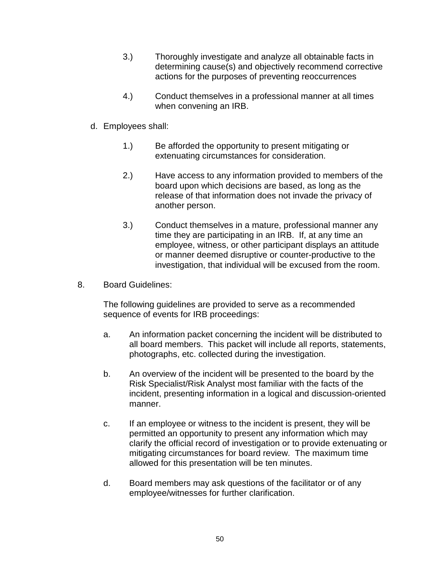- 3.) Thoroughly investigate and analyze all obtainable facts in determining cause(s) and objectively recommend corrective actions for the purposes of preventing reoccurrences
- 4.) Conduct themselves in a professional manner at all times when convening an IRB.
- d. Employees shall:
	- 1.) Be afforded the opportunity to present mitigating or extenuating circumstances for consideration.
	- 2.) Have access to any information provided to members of the board upon which decisions are based, as long as the release of that information does not invade the privacy of another person.
	- 3.) Conduct themselves in a mature, professional manner any time they are participating in an IRB. If, at any time an employee, witness, or other participant displays an attitude or manner deemed disruptive or counter-productive to the investigation, that individual will be excused from the room.
- 8. Board Guidelines:

The following guidelines are provided to serve as a recommended sequence of events for IRB proceedings:

- a. An information packet concerning the incident will be distributed to all board members. This packet will include all reports, statements, photographs, etc. collected during the investigation.
- b. An overview of the incident will be presented to the board by the Risk Specialist/Risk Analyst most familiar with the facts of the incident, presenting information in a logical and discussion-oriented manner.
- c. If an employee or witness to the incident is present, they will be permitted an opportunity to present any information which may clarify the official record of investigation or to provide extenuating or mitigating circumstances for board review. The maximum time allowed for this presentation will be ten minutes.
- d. Board members may ask questions of the facilitator or of any employee/witnesses for further clarification.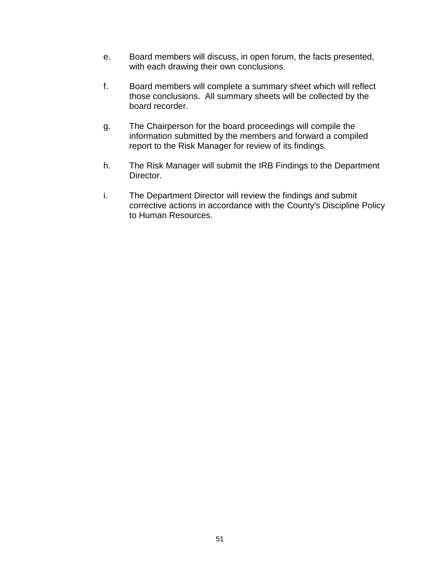- e. Board members will discuss, in open forum, the facts presented, with each drawing their own conclusions.
- f. Board members will complete a summary sheet which will reflect those conclusions. All summary sheets will be collected by the board recorder.
- g. The Chairperson for the board proceedings will compile the information submitted by the members and forward a compiled report to the Risk Manager for review of its findings.
- h. The Risk Manager will submit the IRB Findings to the Department Director.
- i. The Department Director will review the findings and submit corrective actions in accordance with the County's Discipline Policy to Human Resources.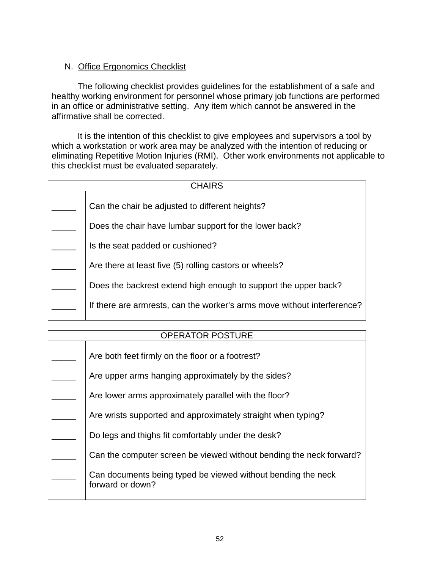# N. Office Ergonomics Checklist

The following checklist provides guidelines for the establishment of a safe and healthy working environment for personnel whose primary job functions are performed in an office or administrative setting. Any item which cannot be answered in the affirmative shall be corrected.

It is the intention of this checklist to give employees and supervisors a tool by which a workstation or work area may be analyzed with the intention of reducing or eliminating Repetitive Motion Injuries (RMI). Other work environments not applicable to this checklist must be evaluated separately.

| <b>CHAIRS</b> |                                                                         |
|---------------|-------------------------------------------------------------------------|
|               | Can the chair be adjusted to different heights?                         |
|               | Does the chair have lumbar support for the lower back?                  |
|               | Is the seat padded or cushioned?                                        |
|               | Are there at least five (5) rolling castors or wheels?                  |
|               | Does the backrest extend high enough to support the upper back?         |
|               | If there are armrests, can the worker's arms move without interference? |

# OPERATOR POSTURE

| Are both feet firmly on the floor or a footrest?                                 |
|----------------------------------------------------------------------------------|
| Are upper arms hanging approximately by the sides?                               |
| Are lower arms approximately parallel with the floor?                            |
| Are wrists supported and approximately straight when typing?                     |
| Do legs and thighs fit comfortably under the desk?                               |
| Can the computer screen be viewed without bending the neck forward?              |
| Can documents being typed be viewed without bending the neck<br>forward or down? |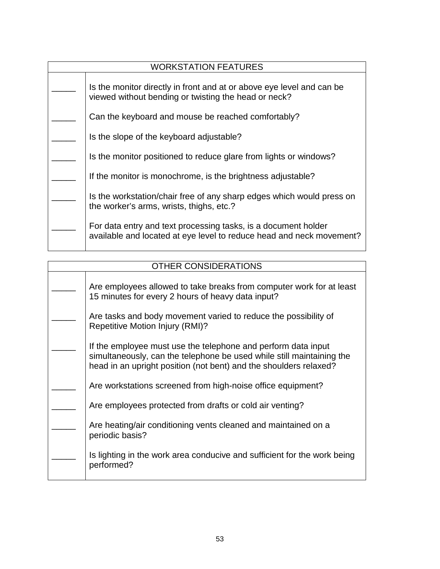| <b>WORKSTATION FEATURES</b> |                                                                                                                                        |
|-----------------------------|----------------------------------------------------------------------------------------------------------------------------------------|
|                             | Is the monitor directly in front and at or above eye level and can be<br>viewed without bending or twisting the head or neck?          |
|                             | Can the keyboard and mouse be reached comfortably?                                                                                     |
|                             | Is the slope of the keyboard adjustable?                                                                                               |
|                             | Is the monitor positioned to reduce glare from lights or windows?                                                                      |
|                             | If the monitor is monochrome, is the brightness adjustable?                                                                            |
|                             | Is the workstation/chair free of any sharp edges which would press on<br>the worker's arms, wrists, thighs, etc.?                      |
|                             | For data entry and text processing tasks, is a document holder<br>available and located at eye level to reduce head and neck movement? |

Π

| OTHER CONSIDERATIONS |                                                                                                                                                                                                             |
|----------------------|-------------------------------------------------------------------------------------------------------------------------------------------------------------------------------------------------------------|
|                      | Are employees allowed to take breaks from computer work for at least<br>15 minutes for every 2 hours of heavy data input?                                                                                   |
|                      | Are tasks and body movement varied to reduce the possibility of<br><b>Repetitive Motion Injury (RMI)?</b>                                                                                                   |
|                      | If the employee must use the telephone and perform data input<br>simultaneously, can the telephone be used while still maintaining the<br>head in an upright position (not bent) and the shoulders relaxed? |
|                      | Are workstations screened from high-noise office equipment?                                                                                                                                                 |
|                      | Are employees protected from drafts or cold air venting?                                                                                                                                                    |
|                      | Are heating/air conditioning vents cleaned and maintained on a<br>periodic basis?                                                                                                                           |
|                      | Is lighting in the work area conducive and sufficient for the work being<br>performed?                                                                                                                      |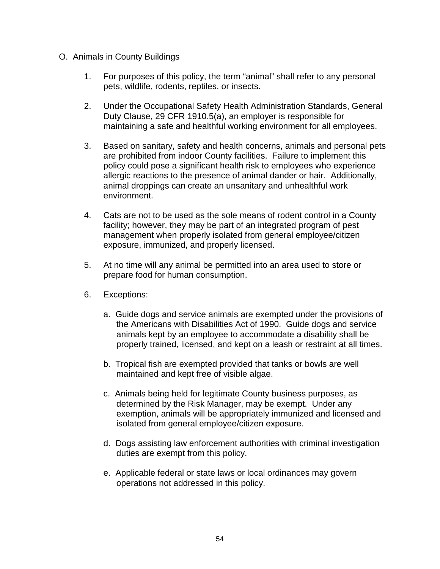### O. Animals in County Buildings

- 1. For purposes of this policy, the term "animal" shall refer to any personal pets, wildlife, rodents, reptiles, or insects.
- 2. Under the Occupational Safety Health Administration Standards, General Duty Clause, 29 CFR 1910.5(a), an employer is responsible for maintaining a safe and healthful working environment for all employees.
- 3. Based on sanitary, safety and health concerns, animals and personal pets are prohibited from indoor County facilities. Failure to implement this policy could pose a significant health risk to employees who experience allergic reactions to the presence of animal dander or hair. Additionally, animal droppings can create an unsanitary and unhealthful work environment.
- 4. Cats are not to be used as the sole means of rodent control in a County facility; however, they may be part of an integrated program of pest management when properly isolated from general employee/citizen exposure, immunized, and properly licensed.
- 5. At no time will any animal be permitted into an area used to store or prepare food for human consumption.
- 6. Exceptions:
	- a. Guide dogs and service animals are exempted under the provisions of the Americans with Disabilities Act of 1990. Guide dogs and service animals kept by an employee to accommodate a disability shall be properly trained, licensed, and kept on a leash or restraint at all times.
	- b. Tropical fish are exempted provided that tanks or bowls are well maintained and kept free of visible algae.
	- c. Animals being held for legitimate County business purposes, as determined by the Risk Manager, may be exempt. Under any exemption, animals will be appropriately immunized and licensed and isolated from general employee/citizen exposure.
	- d. Dogs assisting law enforcement authorities with criminal investigation duties are exempt from this policy.
	- e. Applicable federal or state laws or local ordinances may govern operations not addressed in this policy.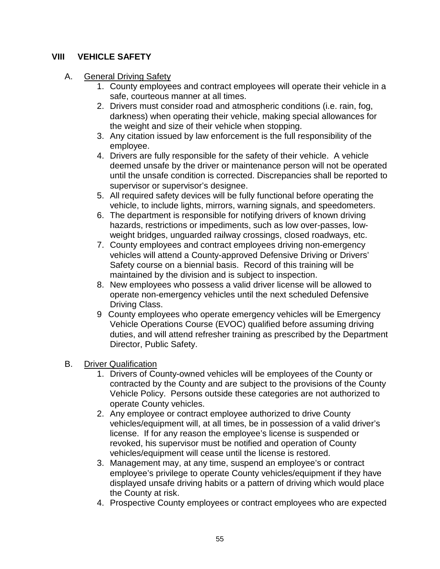# **VIII VEHICLE SAFETY**

## A. General Driving Safety

- 1. County employees and contract employees will operate their vehicle in a safe, courteous manner at all times.
- 2. Drivers must consider road and atmospheric conditions (i.e. rain, fog, darkness) when operating their vehicle, making special allowances for the weight and size of their vehicle when stopping.
- 3. Any citation issued by law enforcement is the full responsibility of the employee.
- 4. Drivers are fully responsible for the safety of their vehicle. A vehicle deemed unsafe by the driver or maintenance person will not be operated until the unsafe condition is corrected. Discrepancies shall be reported to supervisor or supervisor's designee.
- 5. All required safety devices will be fully functional before operating the vehicle, to include lights, mirrors, warning signals, and speedometers.
- 6. The department is responsible for notifying drivers of known driving hazards, restrictions or impediments, such as low over-passes, lowweight bridges, unguarded railway crossings, closed roadways, etc.
- 7. County employees and contract employees driving non-emergency vehicles will attend a County-approved Defensive Driving or Drivers' Safety course on a biennial basis. Record of this training will be maintained by the division and is subject to inspection.
- 8. New employees who possess a valid driver license will be allowed to operate non-emergency vehicles until the next scheduled Defensive Driving Class.
- 9 County employees who operate emergency vehicles will be Emergency Vehicle Operations Course (EVOC) qualified before assuming driving duties, and will attend refresher training as prescribed by the Department Director, Public Safety.

# B. Driver Qualification

- 1. Drivers of County-owned vehicles will be employees of the County or contracted by the County and are subject to the provisions of the County Vehicle Policy. Persons outside these categories are not authorized to operate County vehicles.
- 2. Any employee or contract employee authorized to drive County vehicles/equipment will, at all times, be in possession of a valid driver's license. If for any reason the employee's license is suspended or revoked, his supervisor must be notified and operation of County vehicles/equipment will cease until the license is restored.
- 3. Management may, at any time, suspend an employee's or contract employee's privilege to operate County vehicles/equipment if they have displayed unsafe driving habits or a pattern of driving which would place the County at risk.
- 4. Prospective County employees or contract employees who are expected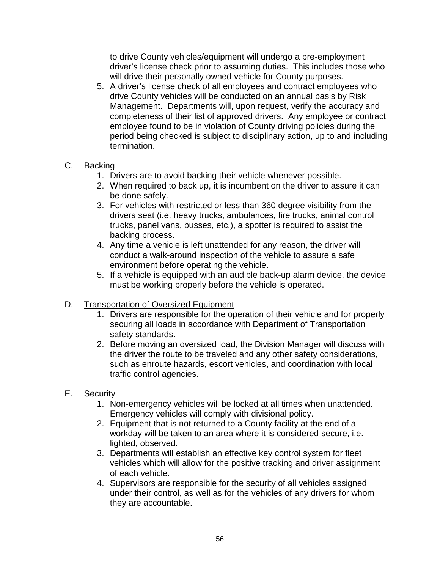to drive County vehicles/equipment will undergo a pre-employment driver's license check prior to assuming duties. This includes those who will drive their personally owned vehicle for County purposes.

5. A driver's license check of all employees and contract employees who drive County vehicles will be conducted on an annual basis by Risk Management. Departments will, upon request, verify the accuracy and completeness of their list of approved drivers. Any employee or contract employee found to be in violation of County driving policies during the period being checked is subject to disciplinary action, up to and including termination.

# C. Backing

- 1. Drivers are to avoid backing their vehicle whenever possible.
- 2. When required to back up, it is incumbent on the driver to assure it can be done safely.
- 3. For vehicles with restricted or less than 360 degree visibility from the drivers seat (i.e. heavy trucks, ambulances, fire trucks, animal control trucks, panel vans, busses, etc.), a spotter is required to assist the backing process.
- 4. Any time a vehicle is left unattended for any reason, the driver will conduct a walk-around inspection of the vehicle to assure a safe environment before operating the vehicle.
- 5. If a vehicle is equipped with an audible back-up alarm device, the device must be working properly before the vehicle is operated.

### D. Transportation of Oversized Equipment

- 1. Drivers are responsible for the operation of their vehicle and for properly securing all loads in accordance with Department of Transportation safety standards.
- 2. Before moving an oversized load, the Division Manager will discuss with the driver the route to be traveled and any other safety considerations, such as enroute hazards, escort vehicles, and coordination with local traffic control agencies.

# E. Security

- 1. Non-emergency vehicles will be locked at all times when unattended. Emergency vehicles will comply with divisional policy.
- 2. Equipment that is not returned to a County facility at the end of a workday will be taken to an area where it is considered secure, i.e. lighted, observed.
- 3. Departments will establish an effective key control system for fleet vehicles which will allow for the positive tracking and driver assignment of each vehicle.
- 4. Supervisors are responsible for the security of all vehicles assigned under their control, as well as for the vehicles of any drivers for whom they are accountable.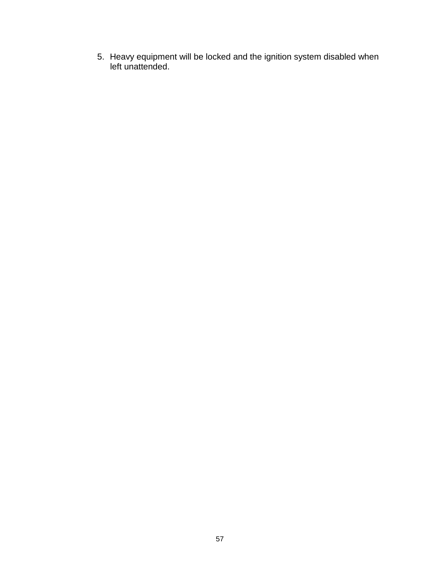5. Heavy equipment will be locked and the ignition system disabled when left unattended.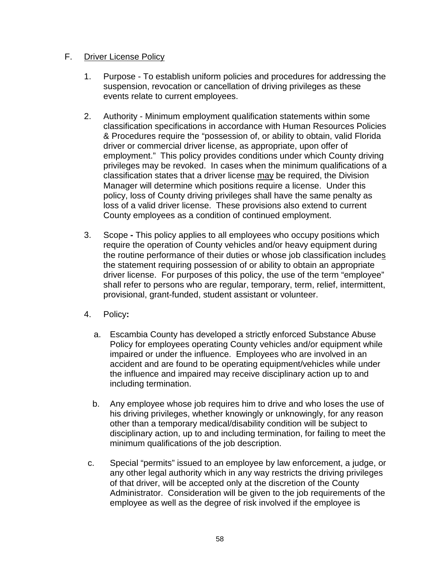## F. Driver License Policy

- 1. Purpose To establish uniform policies and procedures for addressing the suspension, revocation or cancellation of driving privileges as these events relate to current employees.
- 2. Authority Minimum employment qualification statements within some classification specifications in accordance with Human Resources Policies & Procedures require the "possession of, or ability to obtain, valid Florida driver or commercial driver license, as appropriate, upon offer of employment." This policy provides conditions under which County driving privileges may be revoked. In cases when the minimum qualifications of a classification states that a driver license may be required, the Division Manager will determine which positions require a license. Under this policy, loss of County driving privileges shall have the same penalty as loss of a valid driver license. These provisions also extend to current County employees as a condition of continued employment.
- 3. Scope **-** This policy applies to all employees who occupy positions which require the operation of County vehicles and/or heavy equipment during the routine performance of their duties or whose job classification includes the statement requiring possession of or ability to obtain an appropriate driver license. For purposes of this policy, the use of the term "employee" shall refer to persons who are regular, temporary, term, relief, intermittent, provisional, grant-funded, student assistant or volunteer.
- 4. Policy**:**
	- a. Escambia County has developed a strictly enforced Substance Abuse Policy for employees operating County vehicles and/or equipment while impaired or under the influence. Employees who are involved in an accident and are found to be operating equipment/vehicles while under the influence and impaired may receive disciplinary action up to and including termination.
	- b. Any employee whose job requires him to drive and who loses the use of his driving privileges, whether knowingly or unknowingly, for any reason other than a temporary medical/disability condition will be subject to disciplinary action, up to and including termination, for failing to meet the minimum qualifications of the job description.
- c. Special "permits" issued to an employee by law enforcement, a judge, or any other legal authority which in any way restricts the driving privileges of that driver, will be accepted only at the discretion of the County Administrator. Consideration will be given to the job requirements of the employee as well as the degree of risk involved if the employee is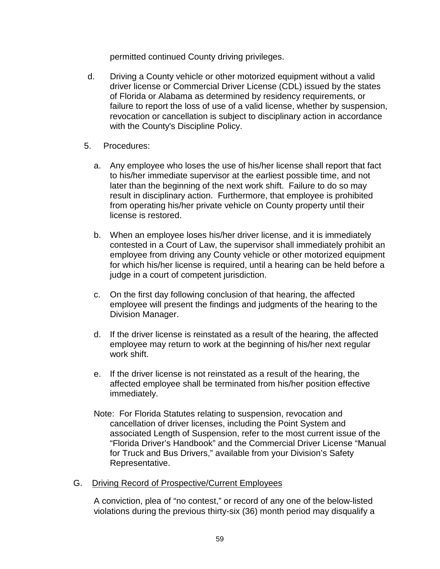permitted continued County driving privileges.

- d. Driving a County vehicle or other motorized equipment without a valid driver license or Commercial Driver License (CDL) issued by the states of Florida or Alabama as determined by residency requirements, or failure to report the loss of use of a valid license, whether by suspension, revocation or cancellation is subject to disciplinary action in accordance with the County's Discipline Policy.
- 5. Procedures:
	- a. Any employee who loses the use of his/her license shall report that fact to his/her immediate supervisor at the earliest possible time, and not later than the beginning of the next work shift. Failure to do so may result in disciplinary action. Furthermore, that employee is prohibited from operating his/her private vehicle on County property until their license is restored.
	- b. When an employee loses his/her driver license, and it is immediately contested in a Court of Law, the supervisor shall immediately prohibit an employee from driving any County vehicle or other motorized equipment for which his/her license is required, until a hearing can be held before a judge in a court of competent jurisdiction.
	- c. On the first day following conclusion of that hearing, the affected employee will present the findings and judgments of the hearing to the Division Manager.
	- d. If the driver license is reinstated as a result of the hearing, the affected employee may return to work at the beginning of his/her next regular work shift.
	- e. If the driver license is not reinstated as a result of the hearing, the affected employee shall be terminated from his/her position effective immediately.
	- Note: For Florida Statutes relating to suspension, revocation and cancellation of driver licenses, including the Point System and associated Length of Suspension, refer to the most current issue of the "Florida Driver's Handbook" and the Commercial Driver License "Manual for Truck and Bus Drivers," available from your Division's Safety Representative.
- G. Driving Record of Prospective/Current Employees

A conviction, plea of "no contest," or record of any one of the below-listed violations during the previous thirty-six (36) month period may disqualify a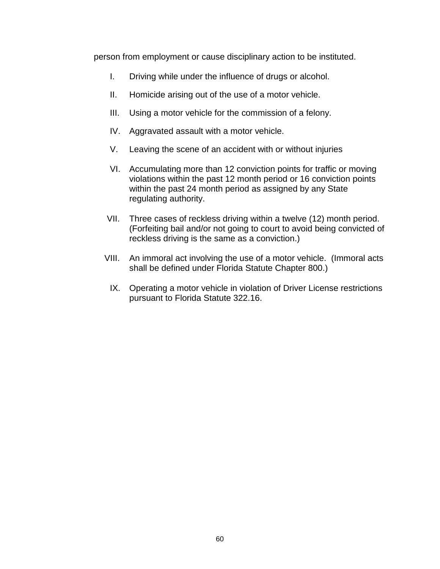person from employment or cause disciplinary action to be instituted.

- I. Driving while under the influence of drugs or alcohol.
- II. Homicide arising out of the use of a motor vehicle.
- III. Using a motor vehicle for the commission of a felony.
- IV. Aggravated assault with a motor vehicle.
- V. Leaving the scene of an accident with or without injuries
- VI. Accumulating more than 12 conviction points for traffic or moving violations within the past 12 month period or 16 conviction points within the past 24 month period as assigned by any State regulating authority.
- VII. Three cases of reckless driving within a twelve (12) month period. (Forfeiting bail and/or not going to court to avoid being convicted of reckless driving is the same as a conviction.)
- VIII. An immoral act involving the use of a motor vehicle. (Immoral acts shall be defined under Florida Statute Chapter 800.)
	- IX. Operating a motor vehicle in violation of Driver License restrictions pursuant to Florida Statute 322.16.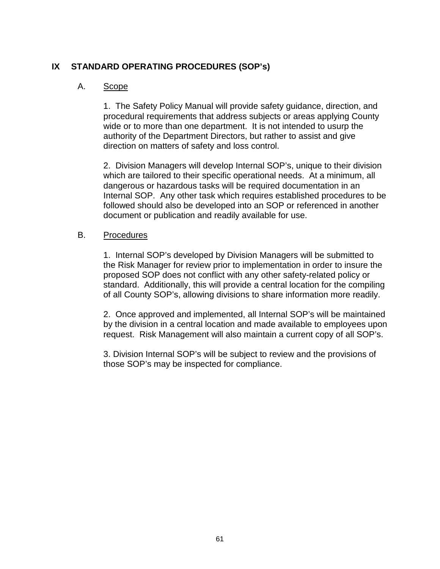# **IX STANDARD OPERATING PROCEDURES (SOP's)**

## A. Scope

1. The Safety Policy Manual will provide safety guidance, direction, and procedural requirements that address subjects or areas applying County wide or to more than one department. It is not intended to usurp the authority of the Department Directors, but rather to assist and give direction on matters of safety and loss control.

2. Division Managers will develop Internal SOP's, unique to their division which are tailored to their specific operational needs. At a minimum, all dangerous or hazardous tasks will be required documentation in an Internal SOP. Any other task which requires established procedures to be followed should also be developed into an SOP or referenced in another document or publication and readily available for use.

### B. Procedures

1. Internal SOP's developed by Division Managers will be submitted to the Risk Manager for review prior to implementation in order to insure the proposed SOP does not conflict with any other safety-related policy or standard. Additionally, this will provide a central location for the compiling of all County SOP's, allowing divisions to share information more readily.

2. Once approved and implemented, all Internal SOP's will be maintained by the division in a central location and made available to employees upon request. Risk Management will also maintain a current copy of all SOP's.

3. Division Internal SOP's will be subject to review and the provisions of those SOP's may be inspected for compliance.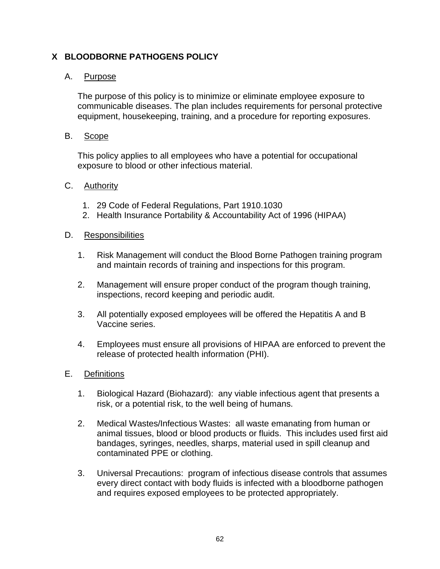# **X BLOODBORNE PATHOGENS POLICY**

## A. Purpose

The purpose of this policy is to minimize or eliminate employee exposure to communicable diseases. The plan includes requirements for personal protective equipment, housekeeping, training, and a procedure for reporting exposures.

### B. Scope

This policy applies to all employees who have a potential for occupational exposure to blood or other infectious material.

### C. Authority

- 1. 29 Code of Federal Regulations, Part 1910.1030
- 2. Health Insurance Portability & Accountability Act of 1996 (HIPAA)

### D. Responsibilities

- 1. Risk Management will conduct the Blood Borne Pathogen training program and maintain records of training and inspections for this program.
- 2. Management will ensure proper conduct of the program though training, inspections, record keeping and periodic audit.
- 3. All potentially exposed employees will be offered the Hepatitis A and B Vaccine series.
- 4. Employees must ensure all provisions of HIPAA are enforced to prevent the release of protected health information (PHI).

### E. Definitions

- 1. Biological Hazard (Biohazard): any viable infectious agent that presents a risk, or a potential risk, to the well being of humans.
- 2. Medical Wastes/Infectious Wastes: all waste emanating from human or animal tissues, blood or blood products or fluids. This includes used first aid bandages, syringes, needles, sharps, material used in spill cleanup and contaminated PPE or clothing.
- 3. Universal Precautions: program of infectious disease controls that assumes every direct contact with body fluids is infected with a bloodborne pathogen and requires exposed employees to be protected appropriately.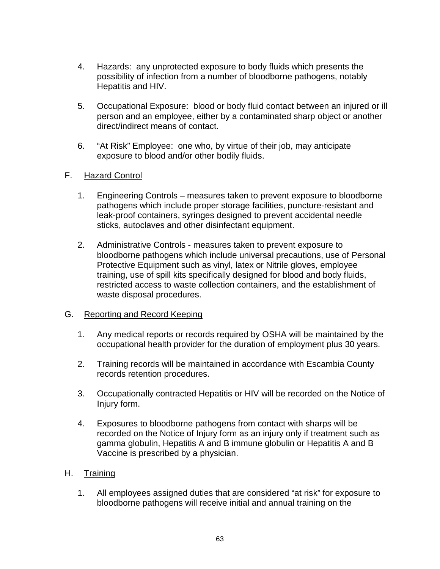- 4. Hazards: any unprotected exposure to body fluids which presents the possibility of infection from a number of bloodborne pathogens, notably Hepatitis and HIV.
- 5. Occupational Exposure: blood or body fluid contact between an injured or ill person and an employee, either by a contaminated sharp object or another direct/indirect means of contact.
- 6. "At Risk" Employee: one who, by virtue of their job, may anticipate exposure to blood and/or other bodily fluids.

## F. Hazard Control

- 1. Engineering Controls measures taken to prevent exposure to bloodborne pathogens which include proper storage facilities, puncture-resistant and leak-proof containers, syringes designed to prevent accidental needle sticks, autoclaves and other disinfectant equipment.
- 2. Administrative Controls measures taken to prevent exposure to bloodborne pathogens which include universal precautions, use of Personal Protective Equipment such as vinyl, latex or Nitrile gloves, employee training, use of spill kits specifically designed for blood and body fluids, restricted access to waste collection containers, and the establishment of waste disposal procedures.

### G. Reporting and Record Keeping

- 1. Any medical reports or records required by OSHA will be maintained by the occupational health provider for the duration of employment plus 30 years.
- 2. Training records will be maintained in accordance with Escambia County records retention procedures.
- 3. Occupationally contracted Hepatitis or HIV will be recorded on the Notice of Injury form.
- 4. Exposures to bloodborne pathogens from contact with sharps will be recorded on the Notice of Injury form as an injury only if treatment such as gamma globulin, Hepatitis A and B immune globulin or Hepatitis A and B Vaccine is prescribed by a physician.

# H. Training

1. All employees assigned duties that are considered "at risk" for exposure to bloodborne pathogens will receive initial and annual training on the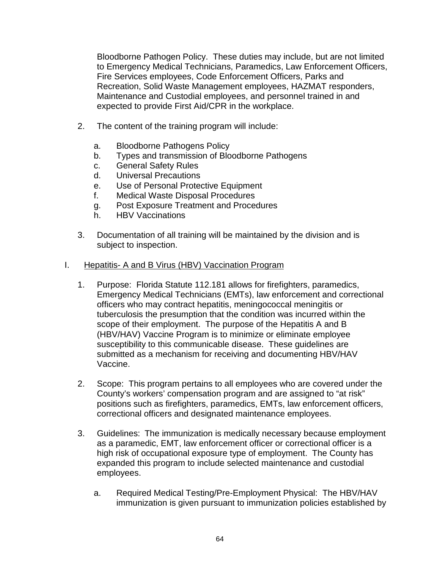Bloodborne Pathogen Policy. These duties may include, but are not limited to Emergency Medical Technicians, Paramedics, Law Enforcement Officers, Fire Services employees, Code Enforcement Officers, Parks and Recreation, Solid Waste Management employees, HAZMAT responders, Maintenance and Custodial employees, and personnel trained in and expected to provide First Aid/CPR in the workplace.

- 2. The content of the training program will include:
	- a. Bloodborne Pathogens Policy
	- b. Types and transmission of Bloodborne Pathogens
	- c. General Safety Rules
	- d. Universal Precautions
	- e. Use of Personal Protective Equipment
	- f. Medical Waste Disposal Procedures
	- g. Post Exposure Treatment and Procedures
	- h. HBV Vaccinations
- 3. Documentation of all training will be maintained by the division and is subject to inspection.

#### I. Hepatitis- A and B Virus (HBV) Vaccination Program

- 1. Purpose: Florida Statute 112.181 allows for firefighters, paramedics, Emergency Medical Technicians (EMTs), law enforcement and correctional officers who may contract hepatitis, meningococcal meningitis or tuberculosis the presumption that the condition was incurred within the scope of their employment. The purpose of the Hepatitis A and B (HBV/HAV) Vaccine Program is to minimize or eliminate employee susceptibility to this communicable disease. These guidelines are submitted as a mechanism for receiving and documenting HBV/HAV Vaccine.
- 2. Scope: This program pertains to all employees who are covered under the County's workers' compensation program and are assigned to "at risk" positions such as firefighters, paramedics, EMTs, law enforcement officers, correctional officers and designated maintenance employees.
- 3. Guidelines: The immunization is medically necessary because employment as a paramedic, EMT, law enforcement officer or correctional officer is a high risk of occupational exposure type of employment. The County has expanded this program to include selected maintenance and custodial employees.
	- a. Required Medical Testing/Pre-Employment Physical: The HBV/HAV immunization is given pursuant to immunization policies established by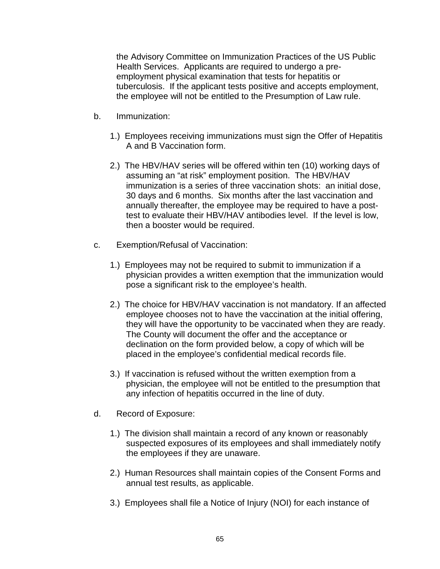the Advisory Committee on Immunization Practices of the US Public Health Services. Applicants are required to undergo a preemployment physical examination that tests for hepatitis or tuberculosis. If the applicant tests positive and accepts employment, the employee will not be entitled to the Presumption of Law rule.

- b. Immunization:
	- 1.) Employees receiving immunizations must sign the Offer of Hepatitis A and B Vaccination form.
	- 2.) The HBV/HAV series will be offered within ten (10) working days of assuming an "at risk" employment position. The HBV/HAV immunization is a series of three vaccination shots: an initial dose, 30 days and 6 months. Six months after the last vaccination and annually thereafter, the employee may be required to have a posttest to evaluate their HBV/HAV antibodies level. If the level is low, then a booster would be required.
- c. Exemption/Refusal of Vaccination:
	- 1.) Employees may not be required to submit to immunization if a physician provides a written exemption that the immunization would pose a significant risk to the employee's health.
	- 2.) The choice for HBV/HAV vaccination is not mandatory. If an affected employee chooses not to have the vaccination at the initial offering, they will have the opportunity to be vaccinated when they are ready. The County will document the offer and the acceptance or declination on the form provided below, a copy of which will be placed in the employee's confidential medical records file.
	- 3.) If vaccination is refused without the written exemption from a physician, the employee will not be entitled to the presumption that any infection of hepatitis occurred in the line of duty.
- d. Record of Exposure:
	- 1.) The division shall maintain a record of any known or reasonably suspected exposures of its employees and shall immediately notify the employees if they are unaware.
	- 2.) Human Resources shall maintain copies of the Consent Forms and annual test results, as applicable.
	- 3.) Employees shall file a Notice of Injury (NOI) for each instance of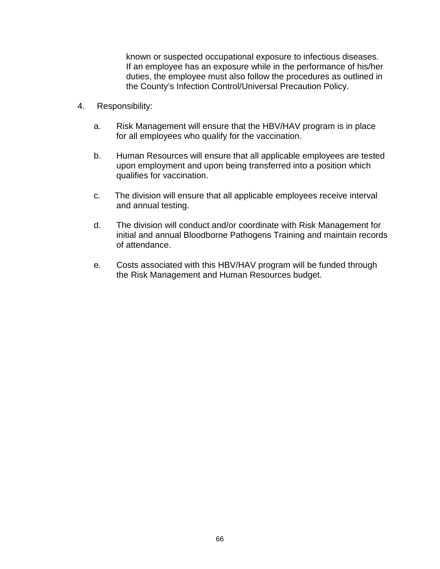known or suspected occupational exposure to infectious diseases. If an employee has an exposure while in the performance of his/her duties, the employee must also follow the procedures as outlined in the County's Infection Control/Universal Precaution Policy.

- 4. Responsibility:
	- a. Risk Management will ensure that the HBV/HAV program is in place for all employees who qualify for the vaccination.
	- b. Human Resources will ensure that all applicable employees are tested upon employment and upon being transferred into a position which qualifies for vaccination.
	- c. The division will ensure that all applicable employees receive interval and annual testing.
	- d. The division will conduct and/or coordinate with Risk Management for initial and annual Bloodborne Pathogens Training and maintain records of attendance.
	- e. Costs associated with this HBV/HAV program will be funded through the Risk Management and Human Resources budget.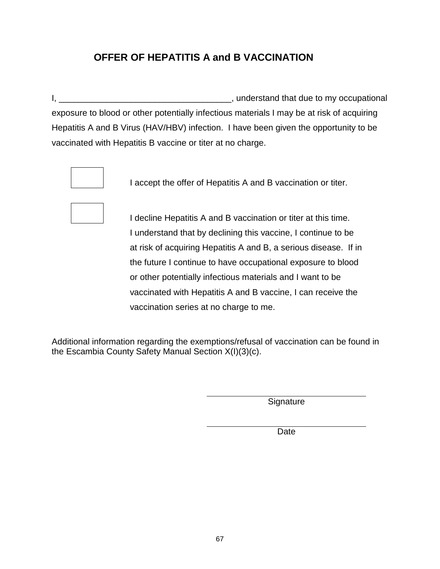# **OFFER OF HEPATITIS A and B VACCINATION**

I, \_\_\_\_\_\_\_\_\_\_\_\_\_\_\_\_\_\_\_\_\_\_\_\_\_\_\_\_\_\_\_\_\_\_\_\_, understand that due to my occupational exposure to blood or other potentially infectious materials I may be at risk of acquiring Hepatitis A and B Virus (HAV/HBV) infection. I have been given the opportunity to be vaccinated with Hepatitis B vaccine or titer at no charge.



I accept the offer of Hepatitis A and B vaccination or titer.



I decline Hepatitis A and B vaccination or titer at this time. I understand that by declining this vaccine, I continue to be at risk of acquiring Hepatitis A and B, a serious disease. If in the future I continue to have occupational exposure to blood or other potentially infectious materials and I want to be vaccinated with Hepatitis A and B vaccine, I can receive the vaccination series at no charge to me.

Additional information regarding the exemptions/refusal of vaccination can be found in the Escambia County Safety Manual Section X(I)(3)(c).

Signature

Date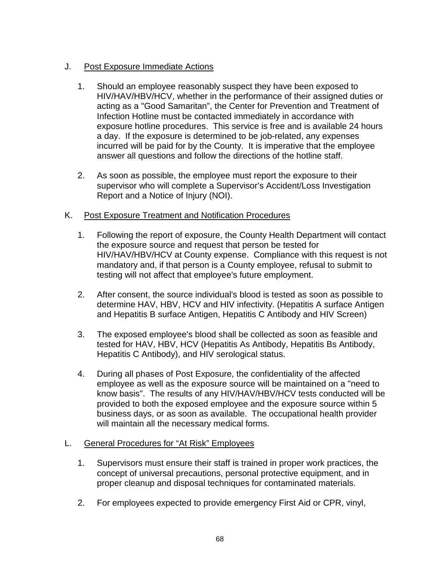# J. Post Exposure Immediate Actions

- 1. Should an employee reasonably suspect they have been exposed to HIV/HAV/HBV/HCV, whether in the performance of their assigned duties or acting as a "Good Samaritan", the Center for Prevention and Treatment of Infection Hotline must be contacted immediately in accordance with exposure hotline procedures. This service is free and is available 24 hours a day. If the exposure is determined to be job-related, any expenses incurred will be paid for by the County. It is imperative that the employee answer all questions and follow the directions of the hotline staff.
- 2. As soon as possible, the employee must report the exposure to their supervisor who will complete a Supervisor's Accident/Loss Investigation Report and a Notice of Injury (NOI).

# K. Post Exposure Treatment and Notification Procedures

- 1. Following the report of exposure, the County Health Department will contact the exposure source and request that person be tested for HIV/HAV/HBV/HCV at County expense. Compliance with this request is not mandatory and, if that person is a County employee, refusal to submit to testing will not affect that employee's future employment.
- 2. After consent, the source individual's blood is tested as soon as possible to determine HAV, HBV, HCV and HIV infectivity. (Hepatitis A surface Antigen and Hepatitis B surface Antigen, Hepatitis C Antibody and HIV Screen)
- 3. The exposed employee's blood shall be collected as soon as feasible and tested for HAV, HBV, HCV (Hepatitis As Antibody, Hepatitis Bs Antibody, Hepatitis C Antibody), and HIV serological status.
- 4. During all phases of Post Exposure, the confidentiality of the affected employee as well as the exposure source will be maintained on a "need to know basis". The results of any HIV/HAV/HBV/HCV tests conducted will be provided to both the exposed employee and the exposure source within 5 business days, or as soon as available. The occupational health provider will maintain all the necessary medical forms.

# L. General Procedures for "At Risk" Employees

- 1. Supervisors must ensure their staff is trained in proper work practices, the concept of universal precautions, personal protective equipment, and in proper cleanup and disposal techniques for contaminated materials.
- 2. For employees expected to provide emergency First Aid or CPR, vinyl,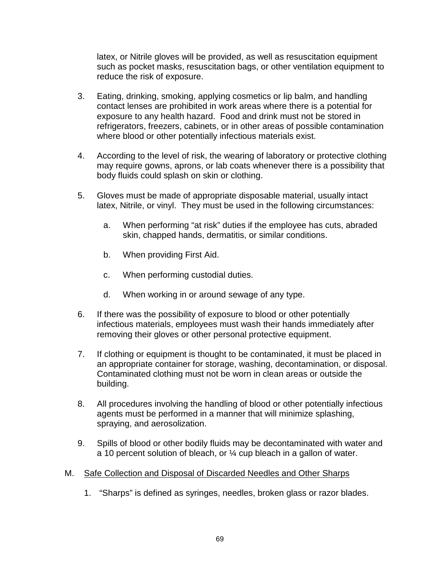latex, or Nitrile gloves will be provided, as well as resuscitation equipment such as pocket masks, resuscitation bags, or other ventilation equipment to reduce the risk of exposure.

- 3. Eating, drinking, smoking, applying cosmetics or lip balm, and handling contact lenses are prohibited in work areas where there is a potential for exposure to any health hazard. Food and drink must not be stored in refrigerators, freezers, cabinets, or in other areas of possible contamination where blood or other potentially infectious materials exist.
- 4. According to the level of risk, the wearing of laboratory or protective clothing may require gowns, aprons, or lab coats whenever there is a possibility that body fluids could splash on skin or clothing.
- 5. Gloves must be made of appropriate disposable material, usually intact latex, Nitrile, or vinyl. They must be used in the following circumstances:
	- a. When performing "at risk" duties if the employee has cuts, abraded skin, chapped hands, dermatitis, or similar conditions.
	- b. When providing First Aid.
	- c. When performing custodial duties.
	- d. When working in or around sewage of any type.
- 6. If there was the possibility of exposure to blood or other potentially infectious materials, employees must wash their hands immediately after removing their gloves or other personal protective equipment.
- 7. If clothing or equipment is thought to be contaminated, it must be placed in an appropriate container for storage, washing, decontamination, or disposal. Contaminated clothing must not be worn in clean areas or outside the building.
- 8. All procedures involving the handling of blood or other potentially infectious agents must be performed in a manner that will minimize splashing, spraying, and aerosolization.
- 9. Spills of blood or other bodily fluids may be decontaminated with water and a 10 percent solution of bleach, or ¼ cup bleach in a gallon of water.
- M. Safe Collection and Disposal of Discarded Needles and Other Sharps
	- 1. "Sharps" is defined as syringes, needles, broken glass or razor blades.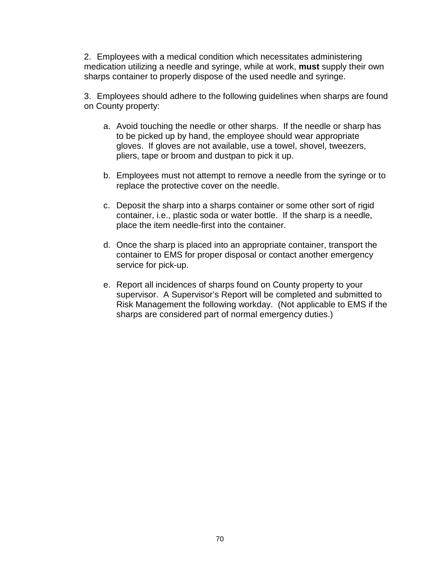2. Employees with a medical condition which necessitates administering medication utilizing a needle and syringe, while at work, **must** supply their own sharps container to properly dispose of the used needle and syringe.

3. Employees should adhere to the following guidelines when sharps are found on County property:

- a. Avoid touching the needle or other sharps. If the needle or sharp has to be picked up by hand, the employee should wear appropriate gloves. If gloves are not available, use a towel, shovel, tweezers, pliers, tape or broom and dustpan to pick it up.
- b. Employees must not attempt to remove a needle from the syringe or to replace the protective cover on the needle.
- c. Deposit the sharp into a sharps container or some other sort of rigid container, i.e., plastic soda or water bottle. If the sharp is a needle, place the item needle-first into the container.
- d. Once the sharp is placed into an appropriate container, transport the container to EMS for proper disposal or contact another emergency service for pick-up.
- e. Report all incidences of sharps found on County property to your supervisor. A Supervisor's Report will be completed and submitted to Risk Management the following workday. (Not applicable to EMS if the sharps are considered part of normal emergency duties.)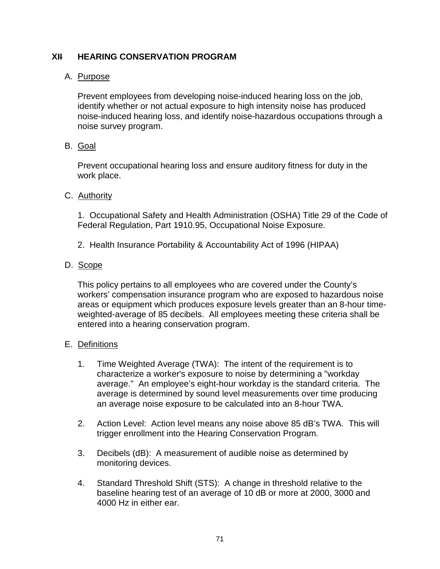# **XII HEARING CONSERVATION PROGRAM**

### A. Purpose

Prevent employees from developing noise-induced hearing loss on the job, identify whether or not actual exposure to high intensity noise has produced noise-induced hearing loss, and identify noise-hazardous occupations through a noise survey program.

## B. Goal

Prevent occupational hearing loss and ensure auditory fitness for duty in the work place.

### C. Authority

1. Occupational Safety and Health Administration (OSHA) Title 29 of the Code of Federal Regulation, Part 1910.95, Occupational Noise Exposure.

2. Health Insurance Portability & Accountability Act of 1996 (HIPAA)

### D. Scope

This policy pertains to all employees who are covered under the County's workers' compensation insurance program who are exposed to hazardous noise areas or equipment which produces exposure levels greater than an 8-hour timeweighted-average of 85 decibels. All employees meeting these criteria shall be entered into a hearing conservation program.

### E. Definitions

- 1. Time Weighted Average (TWA): The intent of the requirement is to characterize a worker's exposure to noise by determining a "workday average." An employee's eight-hour workday is the standard criteria. The average is determined by sound level measurements over time producing an average noise exposure to be calculated into an 8-hour TWA.
- 2. Action Level: Action level means any noise above 85 dB's TWA. This will trigger enrollment into the Hearing Conservation Program.
- 3. Decibels (dB): A measurement of audible noise as determined by monitoring devices.
- 4. Standard Threshold Shift (STS): A change in threshold relative to the baseline hearing test of an average of 10 dB or more at 2000, 3000 and 4000 Hz in either ear.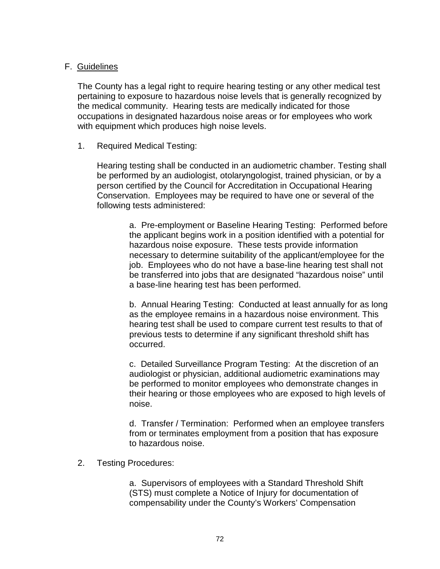### F. Guidelines

The County has a legal right to require hearing testing or any other medical test pertaining to exposure to hazardous noise levels that is generally recognized by the medical community. Hearing tests are medically indicated for those occupations in designated hazardous noise areas or for employees who work with equipment which produces high noise levels.

### 1. Required Medical Testing:

Hearing testing shall be conducted in an audiometric chamber. Testing shall be performed by an audiologist, otolaryngologist, trained physician, or by a person certified by the Council for Accreditation in Occupational Hearing Conservation. Employees may be required to have one or several of the following tests administered:

> a. Pre-employment or Baseline Hearing Testing: Performed before the applicant begins work in a position identified with a potential for hazardous noise exposure. These tests provide information necessary to determine suitability of the applicant/employee for the job. Employees who do not have a base-line hearing test shall not be transferred into jobs that are designated "hazardous noise" until a base-line hearing test has been performed.

> b. Annual Hearing Testing: Conducted at least annually for as long as the employee remains in a hazardous noise environment. This hearing test shall be used to compare current test results to that of previous tests to determine if any significant threshold shift has occurred.

> c. Detailed Surveillance Program Testing: At the discretion of an audiologist or physician, additional audiometric examinations may be performed to monitor employees who demonstrate changes in their hearing or those employees who are exposed to high levels of noise.

> d. Transfer / Termination: Performed when an employee transfers from or terminates employment from a position that has exposure to hazardous noise.

2. Testing Procedures:

a. Supervisors of employees with a Standard Threshold Shift (STS) must complete a Notice of Injury for documentation of compensability under the County's Workers' Compensation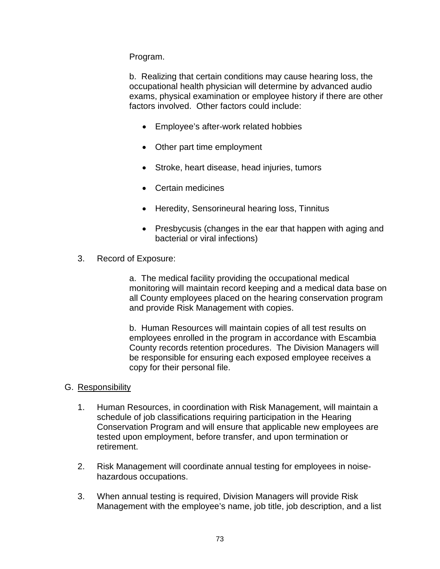Program.

b. Realizing that certain conditions may cause hearing loss, the occupational health physician will determine by advanced audio exams, physical examination or employee history if there are other factors involved. Other factors could include:

- Employee's after-work related hobbies
- Other part time employment
- Stroke, heart disease, head injuries, tumors
- Certain medicines
- Heredity, Sensorineural hearing loss, Tinnitus
- Presbycusis (changes in the ear that happen with aging and bacterial or viral infections)
- 3. Record of Exposure:

a. The medical facility providing the occupational medical monitoring will maintain record keeping and a medical data base on all County employees placed on the hearing conservation program and provide Risk Management with copies.

b. Human Resources will maintain copies of all test results on employees enrolled in the program in accordance with Escambia County records retention procedures. The Division Managers will be responsible for ensuring each exposed employee receives a copy for their personal file.

## G. Responsibility

- 1. Human Resources, in coordination with Risk Management, will maintain a schedule of job classifications requiring participation in the Hearing Conservation Program and will ensure that applicable new employees are tested upon employment, before transfer, and upon termination or retirement.
- 2. Risk Management will coordinate annual testing for employees in noisehazardous occupations.
- 3. When annual testing is required, Division Managers will provide Risk Management with the employee's name, job title, job description, and a list